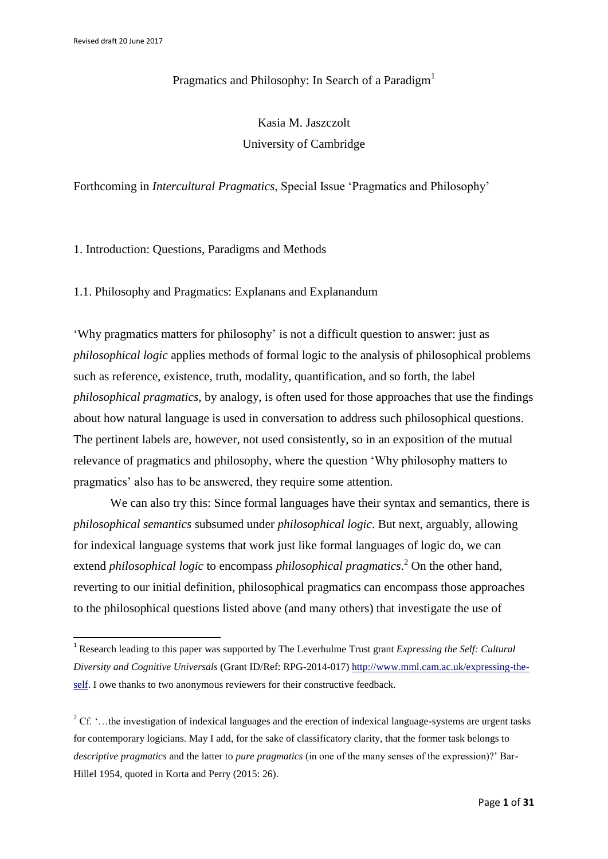# Pragmatics and Philosophy: In Search of a Paradigm<sup>1</sup>

# Kasia M. Jaszczolt University of Cambridge

Forthcoming in *Intercultural Pragmatics*, Special Issue 'Pragmatics and Philosophy'

1. Introduction: Questions, Paradigms and Methods

1.1. Philosophy and Pragmatics: Explanans and Explanandum

'Why pragmatics matters for philosophy' is not a difficult question to answer: just as *philosophical logic* applies methods of formal logic to the analysis of philosophical problems such as reference, existence, truth, modality, quantification, and so forth, the label *philosophical pragmatics*, by analogy, is often used for those approaches that use the findings about how natural language is used in conversation to address such philosophical questions. The pertinent labels are, however, not used consistently, so in an exposition of the mutual relevance of pragmatics and philosophy, where the question 'Why philosophy matters to pragmatics' also has to be answered, they require some attention.

We can also try this: Since formal languages have their syntax and semantics, there is *philosophical semantics* subsumed under *philosophical logic*. But next, arguably, allowing for indexical language systems that work just like formal languages of logic do, we can extend *philosophical logic* to encompass *philosophical pragmatics*. <sup>2</sup> On the other hand, reverting to our initial definition, philosophical pragmatics can encompass those approaches to the philosophical questions listed above (and many others) that investigate the use of

<sup>&</sup>lt;sup>1</sup> Research leading to this paper was supported by The Leverhulme Trust grant *Expressing the Self: Cultural Diversity and Cognitive Universals* (Grant ID/Ref: RPG-2014-017[\) http://www.mml.cam.ac.uk/expressing-the](http://www.mml.cam.ac.uk/expressing-the-self)[self.](http://www.mml.cam.ac.uk/expressing-the-self) I owe thanks to two anonymous reviewers for their constructive feedback.

<sup>&</sup>lt;sup>2</sup> Cf.  $\ldots$ , the investigation of indexical languages and the erection of indexical language-systems are urgent tasks for contemporary logicians. May I add, for the sake of classificatory clarity, that the former task belongs to *descriptive pragmatics* and the latter to *pure pragmatics* (in one of the many senses of the expression)?' Bar-Hillel 1954, quoted in Korta and Perry (2015: 26).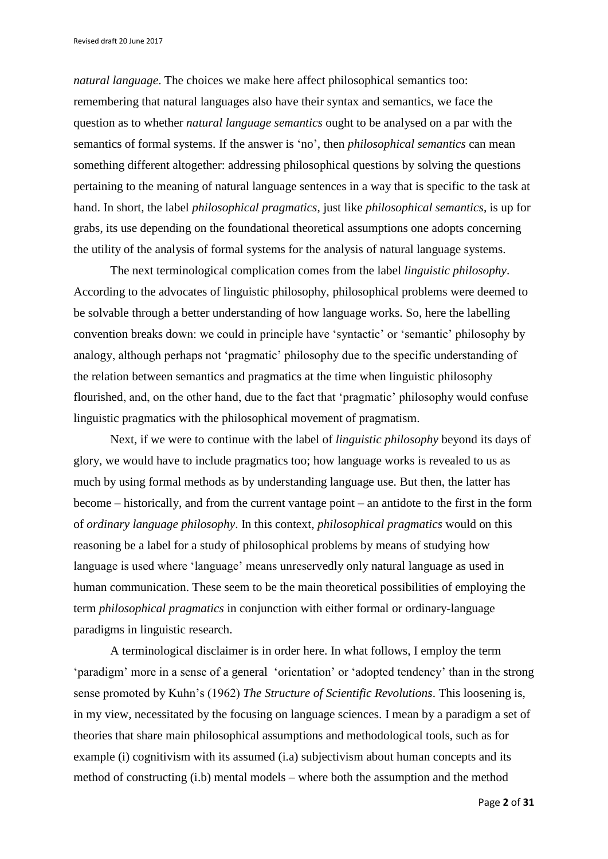*natural language*. The choices we make here affect philosophical semantics too: remembering that natural languages also have their syntax and semantics, we face the question as to whether *natural language semantics* ought to be analysed on a par with the semantics of formal systems. If the answer is 'no', then *philosophical semantics* can mean something different altogether: addressing philosophical questions by solving the questions pertaining to the meaning of natural language sentences in a way that is specific to the task at hand. In short, the label *philosophical pragmatics*, just like *philosophical semantics*, is up for grabs, its use depending on the foundational theoretical assumptions one adopts concerning the utility of the analysis of formal systems for the analysis of natural language systems.

The next terminological complication comes from the label *linguistic philosophy*. According to the advocates of linguistic philosophy, philosophical problems were deemed to be solvable through a better understanding of how language works. So, here the labelling convention breaks down: we could in principle have 'syntactic' or 'semantic' philosophy by analogy, although perhaps not 'pragmatic' philosophy due to the specific understanding of the relation between semantics and pragmatics at the time when linguistic philosophy flourished, and, on the other hand, due to the fact that 'pragmatic' philosophy would confuse linguistic pragmatics with the philosophical movement of pragmatism.

Next, if we were to continue with the label of *linguistic philosophy* beyond its days of glory, we would have to include pragmatics too; how language works is revealed to us as much by using formal methods as by understanding language use. But then, the latter has become – historically, and from the current vantage point – an antidote to the first in the form of *ordinary language philosophy*. In this context, *philosophical pragmatics* would on this reasoning be a label for a study of philosophical problems by means of studying how language is used where 'language' means unreservedly only natural language as used in human communication. These seem to be the main theoretical possibilities of employing the term *philosophical pragmatics* in conjunction with either formal or ordinary-language paradigms in linguistic research.

A terminological disclaimer is in order here. In what follows, I employ the term 'paradigm' more in a sense of a general 'orientation' or 'adopted tendency' than in the strong sense promoted by Kuhn's (1962) *The Structure of Scientific Revolutions*. This loosening is, in my view, necessitated by the focusing on language sciences. I mean by a paradigm a set of theories that share main philosophical assumptions and methodological tools, such as for example (i) cognitivism with its assumed (i.a) subjectivism about human concepts and its method of constructing (i.b) mental models – where both the assumption and the method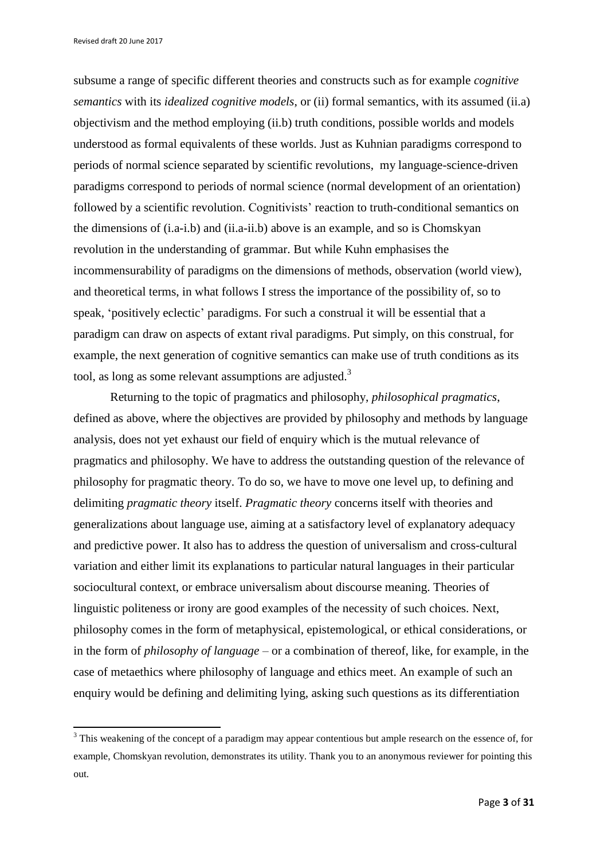subsume a range of specific different theories and constructs such as for example *cognitive semantics* with its *idealized cognitive models*, or (ii) formal semantics, with its assumed (ii.a) objectivism and the method employing (ii.b) truth conditions, possible worlds and models understood as formal equivalents of these worlds. Just as Kuhnian paradigms correspond to periods of normal science separated by scientific revolutions, my language-science-driven paradigms correspond to periods of normal science (normal development of an orientation) followed by a scientific revolution. Cognitivists' reaction to truth-conditional semantics on the dimensions of (i.a-i.b) and (ii.a-ii.b) above is an example, and so is Chomskyan revolution in the understanding of grammar. But while Kuhn emphasises the incommensurability of paradigms on the dimensions of methods, observation (world view), and theoretical terms, in what follows I stress the importance of the possibility of, so to speak, 'positively eclectic' paradigms. For such a construal it will be essential that a paradigm can draw on aspects of extant rival paradigms. Put simply, on this construal, for example, the next generation of cognitive semantics can make use of truth conditions as its tool, as long as some relevant assumptions are adjusted.<sup>3</sup>

Returning to the topic of pragmatics and philosophy, *philosophical pragmatics*, defined as above, where the objectives are provided by philosophy and methods by language analysis, does not yet exhaust our field of enquiry which is the mutual relevance of pragmatics and philosophy. We have to address the outstanding question of the relevance of philosophy for pragmatic theory. To do so, we have to move one level up, to defining and delimiting *pragmatic theory* itself. *Pragmatic theory* concerns itself with theories and generalizations about language use, aiming at a satisfactory level of explanatory adequacy and predictive power. It also has to address the question of universalism and cross-cultural variation and either limit its explanations to particular natural languages in their particular sociocultural context, or embrace universalism about discourse meaning. Theories of linguistic politeness or irony are good examples of the necessity of such choices. Next, philosophy comes in the form of metaphysical, epistemological, or ethical considerations, or in the form of *philosophy of language* – or a combination of thereof, like, for example, in the case of metaethics where philosophy of language and ethics meet. An example of such an enquiry would be defining and delimiting lying, asking such questions as its differentiation

<sup>&</sup>lt;sup>3</sup> This weakening of the concept of a paradigm may appear contentious but ample research on the essence of, for example, Chomskyan revolution, demonstrates its utility. Thank you to an anonymous reviewer for pointing this out.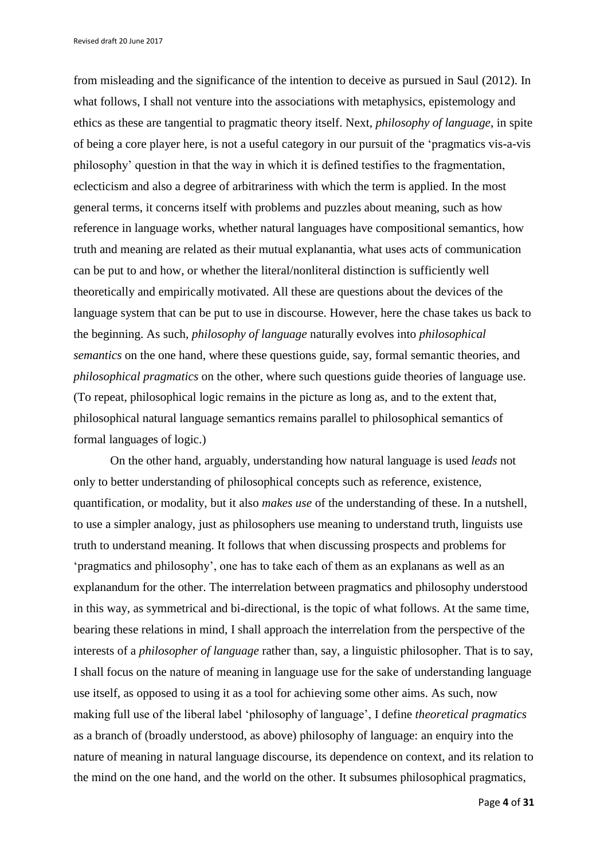from misleading and the significance of the intention to deceive as pursued in Saul (2012). In what follows, I shall not venture into the associations with metaphysics, epistemology and ethics as these are tangential to pragmatic theory itself. Next, *philosophy of language*, in spite of being a core player here, is not a useful category in our pursuit of the 'pragmatics vis-a-vis philosophy' question in that the way in which it is defined testifies to the fragmentation, eclecticism and also a degree of arbitrariness with which the term is applied. In the most general terms, it concerns itself with problems and puzzles about meaning, such as how reference in language works, whether natural languages have compositional semantics, how truth and meaning are related as their mutual explanantia, what uses acts of communication can be put to and how, or whether the literal/nonliteral distinction is sufficiently well theoretically and empirically motivated. All these are questions about the devices of the language system that can be put to use in discourse. However, here the chase takes us back to the beginning. As such, *philosophy of language* naturally evolves into *philosophical semantics* on the one hand, where these questions guide, say, formal semantic theories, and *philosophical pragmatics* on the other, where such questions guide theories of language use. (To repeat, philosophical logic remains in the picture as long as, and to the extent that, philosophical natural language semantics remains parallel to philosophical semantics of formal languages of logic.)

On the other hand, arguably, understanding how natural language is used *leads* not only to better understanding of philosophical concepts such as reference, existence, quantification, or modality, but it also *makes use* of the understanding of these. In a nutshell, to use a simpler analogy, just as philosophers use meaning to understand truth, linguists use truth to understand meaning. It follows that when discussing prospects and problems for 'pragmatics and philosophy', one has to take each of them as an explanans as well as an explanandum for the other. The interrelation between pragmatics and philosophy understood in this way, as symmetrical and bi-directional, is the topic of what follows. At the same time, bearing these relations in mind, I shall approach the interrelation from the perspective of the interests of a *philosopher of language* rather than, say, a linguistic philosopher. That is to say, I shall focus on the nature of meaning in language use for the sake of understanding language use itself, as opposed to using it as a tool for achieving some other aims. As such, now making full use of the liberal label 'philosophy of language', I define *theoretical pragmatics* as a branch of (broadly understood, as above) philosophy of language: an enquiry into the nature of meaning in natural language discourse, its dependence on context, and its relation to the mind on the one hand, and the world on the other. It subsumes philosophical pragmatics,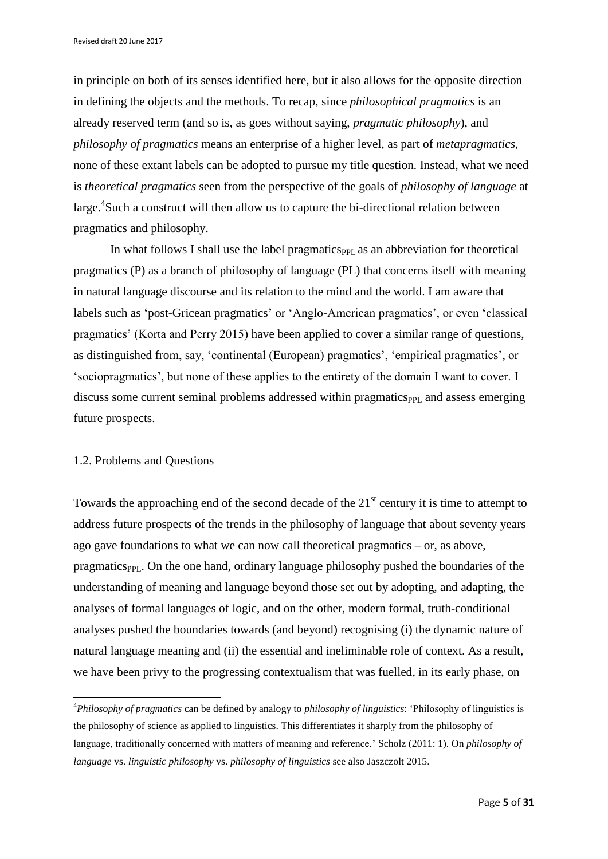in principle on both of its senses identified here, but it also allows for the opposite direction in defining the objects and the methods. To recap, since *philosophical pragmatics* is an already reserved term (and so is, as goes without saying, *pragmatic philosophy*), and *philosophy of pragmatics* means an enterprise of a higher level, as part of *metapragmatics*, none of these extant labels can be adopted to pursue my title question. Instead, what we need is *theoretical pragmatics* seen from the perspective of the goals of *philosophy of language* at large.<sup>4</sup>Such a construct will then allow us to capture the bi-directional relation between pragmatics and philosophy.

In what follows I shall use the label pragmatics $_{\text{PPL}}$  as an abbreviation for theoretical pragmatics (P) as a branch of philosophy of language (PL) that concerns itself with meaning in natural language discourse and its relation to the mind and the world. I am aware that labels such as 'post-Gricean pragmatics' or 'Anglo-American pragmatics', or even 'classical pragmatics' (Korta and Perry 2015) have been applied to cover a similar range of questions, as distinguished from, say, 'continental (European) pragmatics', 'empirical pragmatics', or 'sociopragmatics', but none of these applies to the entirety of the domain I want to cover. I discuss some current seminal problems addressed within pragmatics<sub>PPL</sub> and assess emerging future prospects.

#### 1.2. Problems and Questions

**.** 

Towards the approaching end of the second decade of the  $21<sup>st</sup>$  century it is time to attempt to address future prospects of the trends in the philosophy of language that about seventy years ago gave foundations to what we can now call theoretical pragmatics – or, as above, pragmatics<sub>PPL</sub>. On the one hand, ordinary language philosophy pushed the boundaries of the understanding of meaning and language beyond those set out by adopting, and adapting, the analyses of formal languages of logic, and on the other, modern formal, truth-conditional analyses pushed the boundaries towards (and beyond) recognising (i) the dynamic nature of natural language meaning and (ii) the essential and ineliminable role of context. As a result, we have been privy to the progressing contextualism that was fuelled, in its early phase, on

<sup>4</sup>*Philosophy of pragmatics* can be defined by analogy to *philosophy of linguistics*: 'Philosophy of linguistics is the philosophy of science as applied to linguistics. This differentiates it sharply from the philosophy of language, traditionally concerned with matters of meaning and reference.' Scholz (2011: 1). On *philosophy of language* vs. *linguistic philosophy* vs. *philosophy of linguistics* see also Jaszczolt 2015.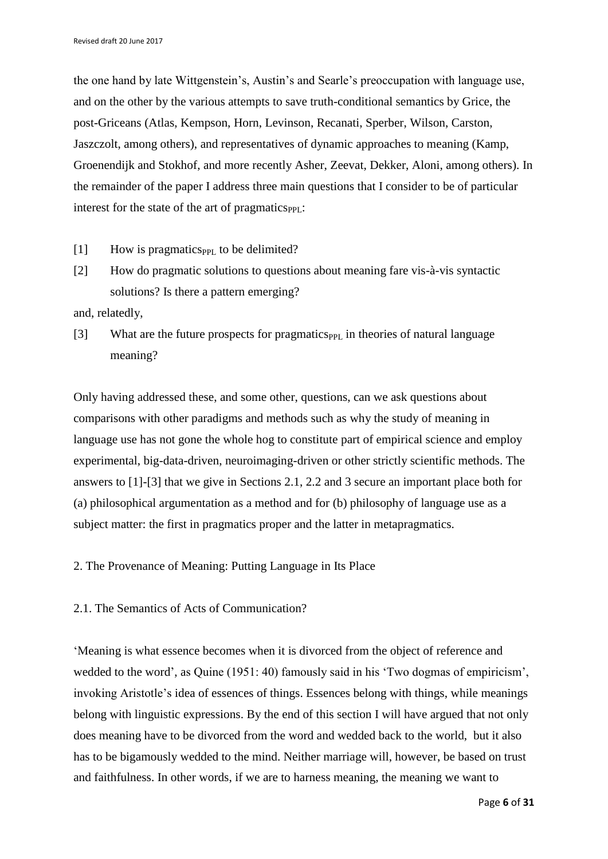the one hand by late Wittgenstein's, Austin's and Searle's preoccupation with language use, and on the other by the various attempts to save truth-conditional semantics by Grice, the post-Griceans (Atlas, Kempson, Horn, Levinson, Recanati, Sperber, Wilson, Carston, Jaszczolt, among others), and representatives of dynamic approaches to meaning (Kamp, Groenendijk and Stokhof, and more recently Asher, Zeevat, Dekker, Aloni, among others). In the remainder of the paper I address three main questions that I consider to be of particular interest for the state of the art of pragmatics $_{\text{PPL}}$ :

- $[1]$  How is pragmatics<sub>PPL</sub> to be delimited?
- [2] How do pragmatic solutions to questions about meaning fare vis-à-vis syntactic solutions? Is there a pattern emerging?

and, relatedly,

[3] What are the future prospects for pragmatics  $_{\rm PPL}$  in theories of natural language meaning?

Only having addressed these, and some other, questions, can we ask questions about comparisons with other paradigms and methods such as why the study of meaning in language use has not gone the whole hog to constitute part of empirical science and employ experimental, big-data-driven, neuroimaging-driven or other strictly scientific methods. The answers to [1]-[3] that we give in Sections 2.1, 2.2 and 3 secure an important place both for (a) philosophical argumentation as a method and for (b) philosophy of language use as a subject matter: the first in pragmatics proper and the latter in metapragmatics.

2. The Provenance of Meaning: Putting Language in Its Place

2.1. The Semantics of Acts of Communication?

'Meaning is what essence becomes when it is divorced from the object of reference and wedded to the word', as Quine (1951: 40) famously said in his 'Two dogmas of empiricism', invoking Aristotle's idea of essences of things. Essences belong with things, while meanings belong with linguistic expressions. By the end of this section I will have argued that not only does meaning have to be divorced from the word and wedded back to the world, but it also has to be bigamously wedded to the mind. Neither marriage will, however, be based on trust and faithfulness. In other words, if we are to harness meaning, the meaning we want to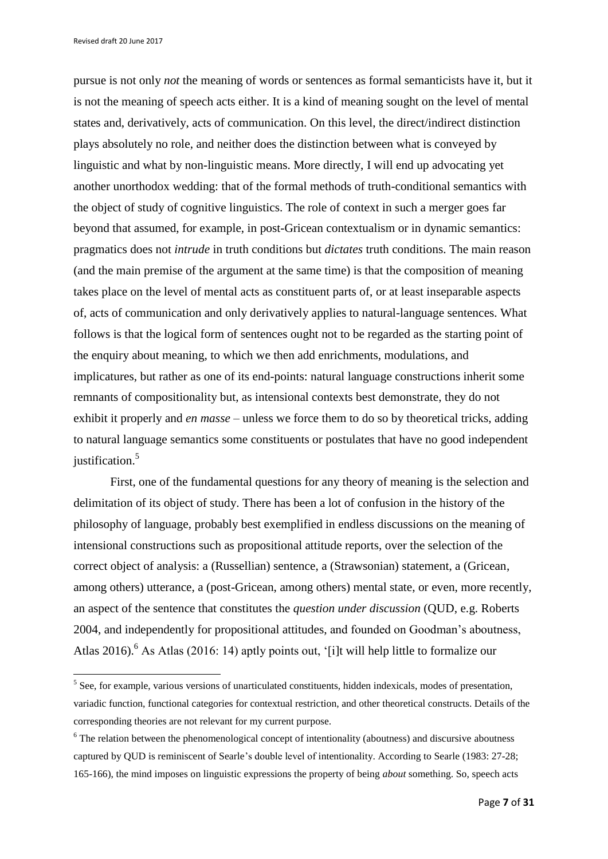$\overline{\phantom{a}}$ 

pursue is not only *not* the meaning of words or sentences as formal semanticists have it, but it is not the meaning of speech acts either. It is a kind of meaning sought on the level of mental states and, derivatively, acts of communication. On this level, the direct/indirect distinction plays absolutely no role, and neither does the distinction between what is conveyed by linguistic and what by non-linguistic means. More directly, I will end up advocating yet another unorthodox wedding: that of the formal methods of truth-conditional semantics with the object of study of cognitive linguistics. The role of context in such a merger goes far beyond that assumed, for example, in post-Gricean contextualism or in dynamic semantics: pragmatics does not *intrude* in truth conditions but *dictates* truth conditions. The main reason (and the main premise of the argument at the same time) is that the composition of meaning takes place on the level of mental acts as constituent parts of, or at least inseparable aspects of, acts of communication and only derivatively applies to natural-language sentences. What follows is that the logical form of sentences ought not to be regarded as the starting point of the enquiry about meaning, to which we then add enrichments, modulations, and implicatures, but rather as one of its end-points: natural language constructions inherit some remnants of compositionality but, as intensional contexts best demonstrate, they do not exhibit it properly and *en masse* – unless we force them to do so by theoretical tricks, adding to natural language semantics some constituents or postulates that have no good independent justification. 5

First, one of the fundamental questions for any theory of meaning is the selection and delimitation of its object of study. There has been a lot of confusion in the history of the philosophy of language, probably best exemplified in endless discussions on the meaning of intensional constructions such as propositional attitude reports, over the selection of the correct object of analysis: a (Russellian) sentence, a (Strawsonian) statement, a (Gricean, among others) utterance, a (post-Gricean, among others) mental state, or even, more recently, an aspect of the sentence that constitutes the *question under discussion* (QUD, e.g. Roberts 2004, and independently for propositional attitudes, and founded on Goodman's aboutness, Atlas 2016).<sup>6</sup> As Atlas (2016: 14) aptly points out, '[i]t will help little to formalize our

<sup>&</sup>lt;sup>5</sup> See, for example, various versions of unarticulated constituents, hidden indexicals, modes of presentation, variadic function, functional categories for contextual restriction, and other theoretical constructs. Details of the corresponding theories are not relevant for my current purpose.

<sup>&</sup>lt;sup>6</sup> The relation between the phenomenological concept of intentionality (aboutness) and discursive aboutness captured by QUD is reminiscent of Searle's double level of intentionality. According to Searle (1983: 27-28; 165-166), the mind imposes on linguistic expressions the property of being *about* something. So, speech acts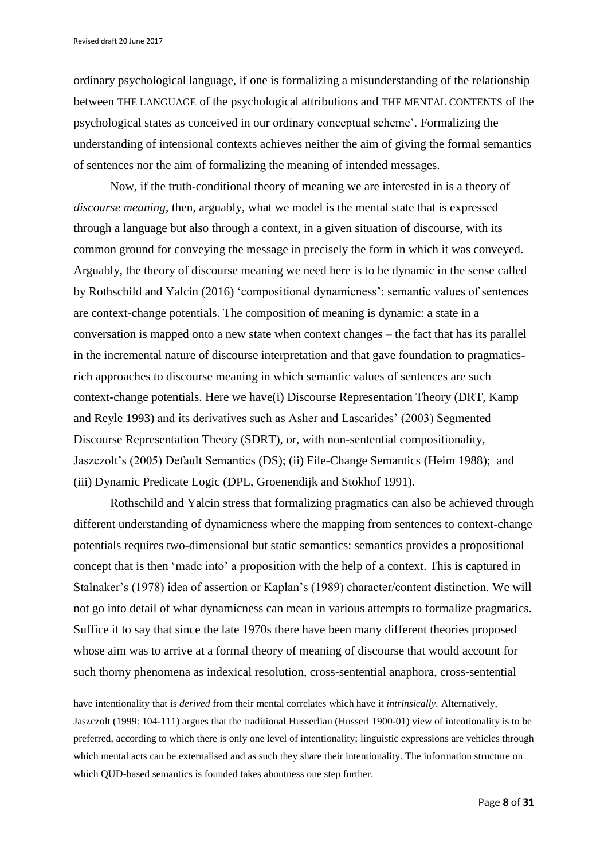ordinary psychological language, if one is formalizing a misunderstanding of the relationship between THE LANGUAGE of the psychological attributions and THE MENTAL CONTENTS of the psychological states as conceived in our ordinary conceptual scheme'. Formalizing the understanding of intensional contexts achieves neither the aim of giving the formal semantics of sentences nor the aim of formalizing the meaning of intended messages.

Now, if the truth-conditional theory of meaning we are interested in is a theory of *discourse meaning*, then, arguably, what we model is the mental state that is expressed through a language but also through a context, in a given situation of discourse, with its common ground for conveying the message in precisely the form in which it was conveyed. Arguably, the theory of discourse meaning we need here is to be dynamic in the sense called by Rothschild and Yalcin (2016) 'compositional dynamicness': semantic values of sentences are context-change potentials. The composition of meaning is dynamic: a state in a conversation is mapped onto a new state when context changes – the fact that has its parallel in the incremental nature of discourse interpretation and that gave foundation to pragmaticsrich approaches to discourse meaning in which semantic values of sentences are such context-change potentials. Here we have(i) Discourse Representation Theory (DRT, Kamp and Reyle 1993) and its derivatives such as Asher and Lascarides' (2003) Segmented Discourse Representation Theory (SDRT), or, with non-sentential compositionality, Jaszczolt's (2005) Default Semantics (DS); (ii) File-Change Semantics (Heim 1988); and (iii) Dynamic Predicate Logic (DPL, Groenendijk and Stokhof 1991).

Rothschild and Yalcin stress that formalizing pragmatics can also be achieved through different understanding of dynamicness where the mapping from sentences to context-change potentials requires two-dimensional but static semantics: semantics provides a propositional concept that is then 'made into' a proposition with the help of a context. This is captured in Stalnaker's (1978) idea of assertion or Kaplan's (1989) character/content distinction. We will not go into detail of what dynamicness can mean in various attempts to formalize pragmatics. Suffice it to say that since the late 1970s there have been many different theories proposed whose aim was to arrive at a formal theory of meaning of discourse that would account for such thorny phenomena as indexical resolution, cross-sentential anaphora, cross-sentential

have intentionality that is *derived* from their mental correlates which have it *intrinsically.* Alternatively, Jaszczolt (1999: 104-111) argues that the traditional Husserlian (Husserl 1900-01) view of intentionality is to be preferred, according to which there is only one level of intentionality; linguistic expressions are vehicles through which mental acts can be externalised and as such they share their intentionality. The information structure on which QUD-based semantics is founded takes aboutness one step further.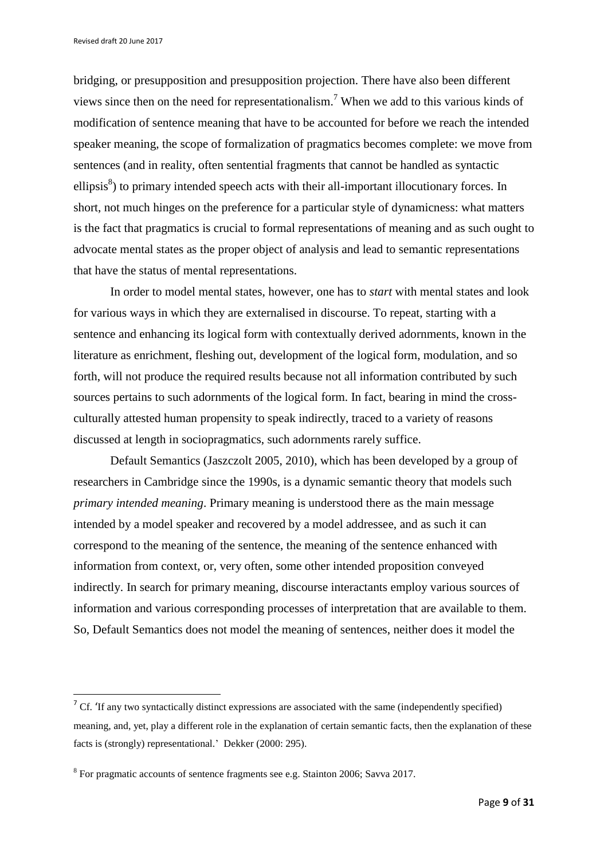**.** 

bridging, or presupposition and presupposition projection. There have also been different views since then on the need for representationalism.<sup>7</sup> When we add to this various kinds of modification of sentence meaning that have to be accounted for before we reach the intended speaker meaning, the scope of formalization of pragmatics becomes complete: we move from sentences (and in reality, often sentential fragments that cannot be handled as syntactic ellipsis<sup>8</sup>) to primary intended speech acts with their all-important illocutionary forces. In short, not much hinges on the preference for a particular style of dynamicness: what matters is the fact that pragmatics is crucial to formal representations of meaning and as such ought to advocate mental states as the proper object of analysis and lead to semantic representations that have the status of mental representations.

In order to model mental states, however, one has to *start* with mental states and look for various ways in which they are externalised in discourse. To repeat, starting with a sentence and enhancing its logical form with contextually derived adornments, known in the literature as enrichment, fleshing out, development of the logical form, modulation, and so forth, will not produce the required results because not all information contributed by such sources pertains to such adornments of the logical form. In fact, bearing in mind the crossculturally attested human propensity to speak indirectly, traced to a variety of reasons discussed at length in sociopragmatics, such adornments rarely suffice.

Default Semantics (Jaszczolt 2005, 2010), which has been developed by a group of researchers in Cambridge since the 1990s, is a dynamic semantic theory that models such *primary intended meaning*. Primary meaning is understood there as the main message intended by a model speaker and recovered by a model addressee, and as such it can correspond to the meaning of the sentence, the meaning of the sentence enhanced with information from context, or, very often, some other intended proposition conveyed indirectly. In search for primary meaning, discourse interactants employ various sources of information and various corresponding processes of interpretation that are available to them. So, Default Semantics does not model the meaning of sentences, neither does it model the

<sup>&</sup>lt;sup>7</sup> Cf. 'If any two syntactically distinct expressions are associated with the same (independently specified) meaning, and, yet, play a different role in the explanation of certain semantic facts, then the explanation of these facts is (strongly) representational.' Dekker (2000: 295).

<sup>&</sup>lt;sup>8</sup> For pragmatic accounts of sentence fragments see e.g. Stainton 2006; Savva 2017.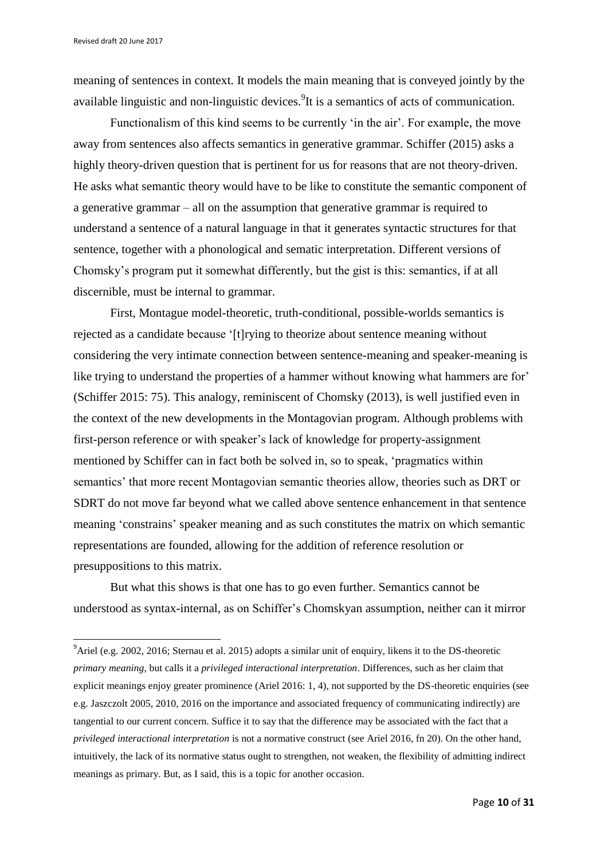meaning of sentences in context. It models the main meaning that is conveyed jointly by the available linguistic and non-linguistic devices.<sup>9</sup>It is a semantics of acts of communication.

Functionalism of this kind seems to be currently 'in the air'. For example, the move away from sentences also affects semantics in generative grammar. Schiffer (2015) asks a highly theory-driven question that is pertinent for us for reasons that are not theory-driven. He asks what semantic theory would have to be like to constitute the semantic component of a generative grammar – all on the assumption that generative grammar is required to understand a sentence of a natural language in that it generates syntactic structures for that sentence, together with a phonological and sematic interpretation. Different versions of Chomsky's program put it somewhat differently, but the gist is this: semantics, if at all discernible, must be internal to grammar.

First, Montague model-theoretic, truth-conditional, possible-worlds semantics is rejected as a candidate because '[t]rying to theorize about sentence meaning without considering the very intimate connection between sentence-meaning and speaker-meaning is like trying to understand the properties of a hammer without knowing what hammers are for' (Schiffer 2015: 75). This analogy, reminiscent of Chomsky (2013), is well justified even in the context of the new developments in the Montagovian program. Although problems with first-person reference or with speaker's lack of knowledge for property-assignment mentioned by Schiffer can in fact both be solved in, so to speak, 'pragmatics within semantics' that more recent Montagovian semantic theories allow, theories such as DRT or SDRT do not move far beyond what we called above sentence enhancement in that sentence meaning 'constrains' speaker meaning and as such constitutes the matrix on which semantic representations are founded, allowing for the addition of reference resolution or presuppositions to this matrix.

But what this shows is that one has to go even further. Semantics cannot be understood as syntax-internal, as on Schiffer's Chomskyan assumption, neither can it mirror

<sup>9</sup>Ariel (e.g. 2002, 2016; Sternau et al. 2015) adopts a similar unit of enquiry, likens it to the DS-theoretic *primary meaning*, but calls it a *privileged interactional interpretation*. Differences, such as her claim that explicit meanings enjoy greater prominence (Ariel 2016: 1, 4), not supported by the DS-theoretic enquiries (see e.g. Jaszczolt 2005, 2010, 2016 on the importance and associated frequency of communicating indirectly) are tangential to our current concern. Suffice it to say that the difference may be associated with the fact that a *privileged interactional interpretation* is not a normative construct (see Ariel 2016, fn 20). On the other hand, intuitively, the lack of its normative status ought to strengthen, not weaken, the flexibility of admitting indirect meanings as primary. But, as I said, this is a topic for another occasion.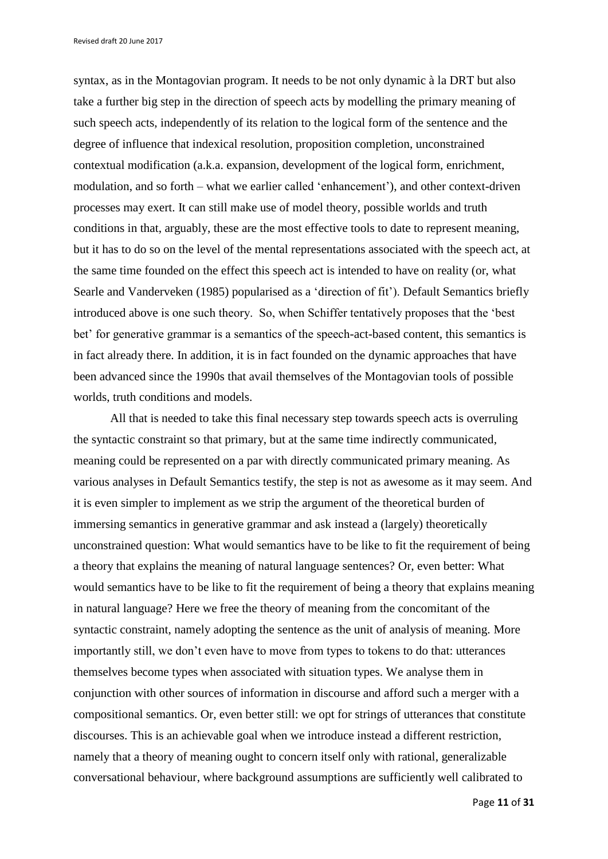syntax, as in the Montagovian program. It needs to be not only dynamic à la DRT but also take a further big step in the direction of speech acts by modelling the primary meaning of such speech acts, independently of its relation to the logical form of the sentence and the degree of influence that indexical resolution, proposition completion, unconstrained contextual modification (a.k.a. expansion, development of the logical form, enrichment, modulation, and so forth – what we earlier called 'enhancement'), and other context-driven processes may exert. It can still make use of model theory, possible worlds and truth conditions in that, arguably, these are the most effective tools to date to represent meaning, but it has to do so on the level of the mental representations associated with the speech act, at the same time founded on the effect this speech act is intended to have on reality (or, what Searle and Vanderveken (1985) popularised as a 'direction of fit'). Default Semantics briefly introduced above is one such theory. So, when Schiffer tentatively proposes that the 'best bet' for generative grammar is a semantics of the speech-act-based content, this semantics is in fact already there. In addition, it is in fact founded on the dynamic approaches that have been advanced since the 1990s that avail themselves of the Montagovian tools of possible worlds, truth conditions and models.

All that is needed to take this final necessary step towards speech acts is overruling the syntactic constraint so that primary, but at the same time indirectly communicated, meaning could be represented on a par with directly communicated primary meaning. As various analyses in Default Semantics testify, the step is not as awesome as it may seem. And it is even simpler to implement as we strip the argument of the theoretical burden of immersing semantics in generative grammar and ask instead a (largely) theoretically unconstrained question: What would semantics have to be like to fit the requirement of being a theory that explains the meaning of natural language sentences? Or, even better: What would semantics have to be like to fit the requirement of being a theory that explains meaning in natural language? Here we free the theory of meaning from the concomitant of the syntactic constraint, namely adopting the sentence as the unit of analysis of meaning. More importantly still, we don't even have to move from types to tokens to do that: utterances themselves become types when associated with situation types. We analyse them in conjunction with other sources of information in discourse and afford such a merger with a compositional semantics. Or, even better still: we opt for strings of utterances that constitute discourses. This is an achievable goal when we introduce instead a different restriction, namely that a theory of meaning ought to concern itself only with rational, generalizable conversational behaviour, where background assumptions are sufficiently well calibrated to

Page **11** of **31**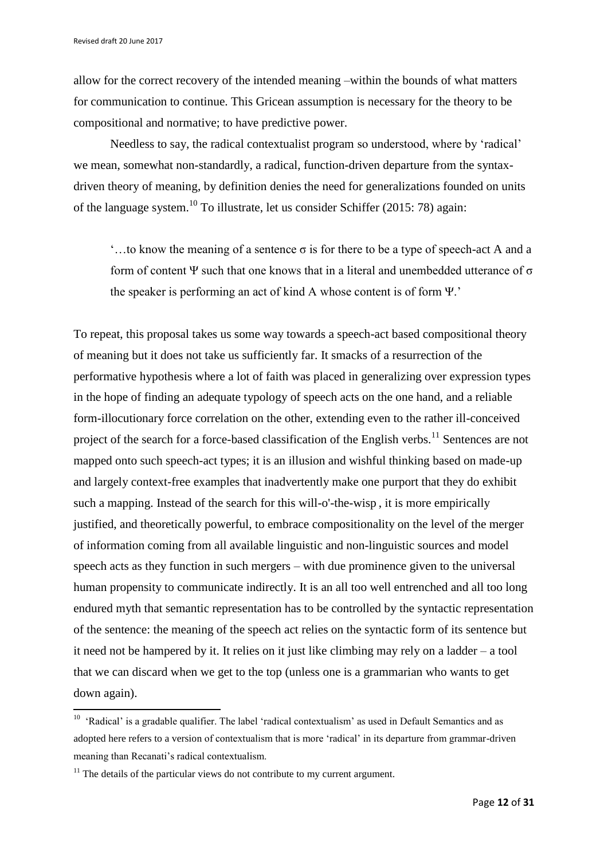allow for the correct recovery of the intended meaning –within the bounds of what matters for communication to continue. This Gricean assumption is necessary for the theory to be compositional and normative; to have predictive power.

Needless to say, the radical contextualist program so understood, where by 'radical' we mean, somewhat non-standardly, a radical, function-driven departure from the syntaxdriven theory of meaning, by definition denies the need for generalizations founded on units of the language system.<sup>10</sup> To illustrate, let us consider Schiffer (2015: 78) again:

...to know the meaning of a sentence  $\sigma$  is for there to be a type of speech-act A and a form of content  $\Psi$  such that one knows that in a literal and unembedded utterance of  $\sigma$ the speaker is performing an act of kind A whose content is of form Ψ.'

To repeat, this proposal takes us some way towards a speech-act based compositional theory of meaning but it does not take us sufficiently far. It smacks of a resurrection of the performative hypothesis where a lot of faith was placed in generalizing over expression types in the hope of finding an adequate typology of speech acts on the one hand, and a reliable form-illocutionary force correlation on the other, extending even to the rather ill-conceived project of the search for a force-based classification of the English verbs.<sup>11</sup> Sentences are not mapped onto such speech-act types; it is an illusion and wishful thinking based on made-up and largely context-free examples that inadvertently make one purport that they do exhibit such a mapping. Instead of the search for this will-o'-the-wisp , it is more empirically justified, and theoretically powerful, to embrace compositionality on the level of the merger of information coming from all available linguistic and non-linguistic sources and model speech acts as they function in such mergers – with due prominence given to the universal human propensity to communicate indirectly. It is an all too well entrenched and all too long endured myth that semantic representation has to be controlled by the syntactic representation of the sentence: the meaning of the speech act relies on the syntactic form of its sentence but it need not be hampered by it. It relies on it just like climbing may rely on a ladder – a tool that we can discard when we get to the top (unless one is a grammarian who wants to get down again).

<sup>&</sup>lt;sup>10</sup> 'Radical' is a gradable qualifier. The label 'radical contextualism' as used in Default Semantics and as adopted here refers to a version of contextualism that is more 'radical' in its departure from grammar-driven meaning than Recanati's radical contextualism.

 $11$  The details of the particular views do not contribute to my current argument.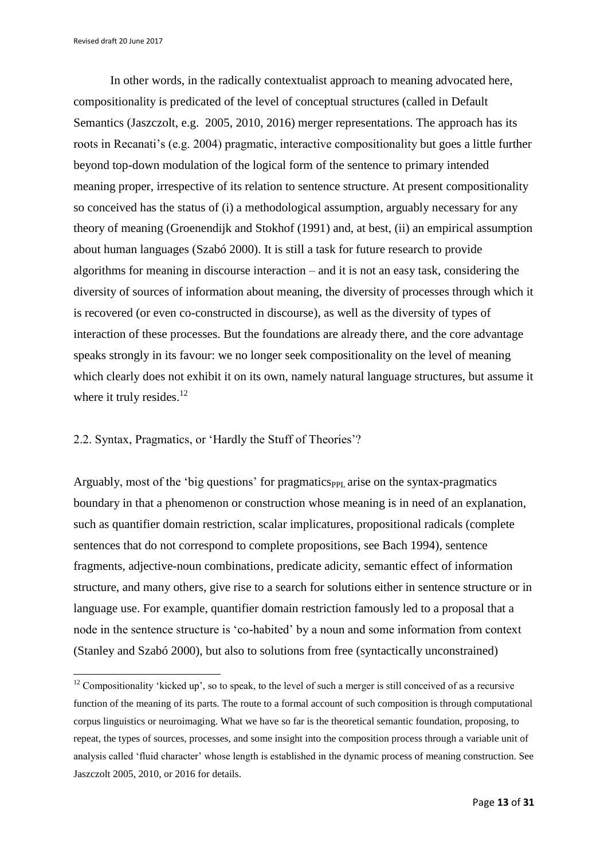$\overline{\phantom{a}}$ 

In other words, in the radically contextualist approach to meaning advocated here, compositionality is predicated of the level of conceptual structures (called in Default Semantics (Jaszczolt, e.g. 2005, 2010, 2016) merger representations. The approach has its roots in Recanati's (e.g. 2004) pragmatic, interactive compositionality but goes a little further beyond top-down modulation of the logical form of the sentence to primary intended meaning proper, irrespective of its relation to sentence structure. At present compositionality so conceived has the status of (i) a methodological assumption, arguably necessary for any theory of meaning (Groenendijk and Stokhof (1991) and, at best, (ii) an empirical assumption about human languages (Szabó 2000). It is still a task for future research to provide algorithms for meaning in discourse interaction – and it is not an easy task, considering the diversity of sources of information about meaning, the diversity of processes through which it is recovered (or even co-constructed in discourse), as well as the diversity of types of interaction of these processes. But the foundations are already there, and the core advantage speaks strongly in its favour: we no longer seek compositionality on the level of meaning which clearly does not exhibit it on its own, namely natural language structures, but assume it where it truly resides.<sup>12</sup>

#### 2.2. Syntax, Pragmatics, or 'Hardly the Stuff of Theories'?

Arguably, most of the 'big questions' for pragmatics $_{\rm PPL}$  arise on the syntax-pragmatics boundary in that a phenomenon or construction whose meaning is in need of an explanation, such as quantifier domain restriction, scalar implicatures, propositional radicals (complete sentences that do not correspond to complete propositions, see Bach 1994), sentence fragments, adjective-noun combinations, predicate adicity, semantic effect of information structure, and many others, give rise to a search for solutions either in sentence structure or in language use. For example, quantifier domain restriction famously led to a proposal that a node in the sentence structure is 'co-habited' by a noun and some information from context (Stanley and Szabó 2000), but also to solutions from free (syntactically unconstrained)

 $12$  Compositionality 'kicked up', so to speak, to the level of such a merger is still conceived of as a recursive function of the meaning of its parts. The route to a formal account of such composition is through computational corpus linguistics or neuroimaging. What we have so far is the theoretical semantic foundation, proposing, to repeat, the types of sources, processes, and some insight into the composition process through a variable unit of analysis called 'fluid character' whose length is established in the dynamic process of meaning construction. See Jaszczolt 2005, 2010, or 2016 for details.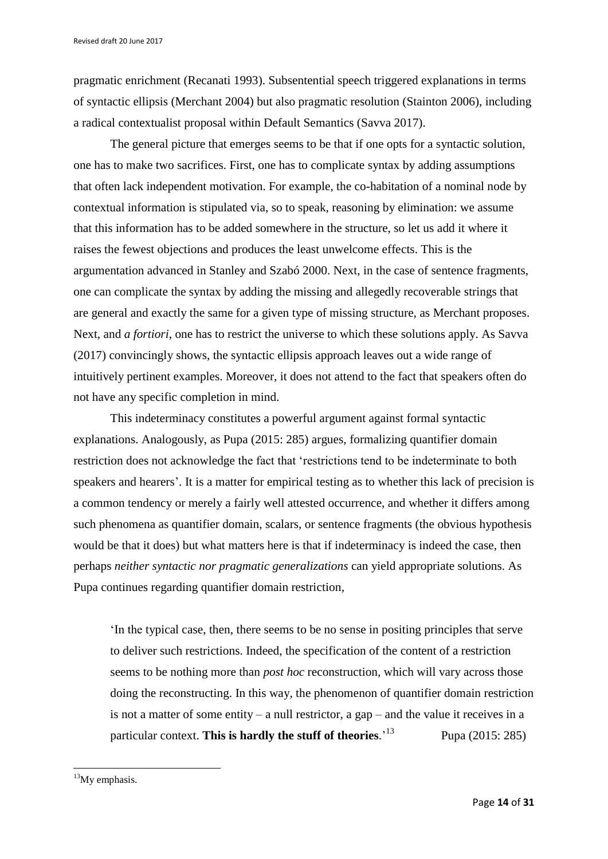pragmatic enrichment (Recanati 1993). Subsentential speech triggered explanations in terms of syntactic ellipsis (Merchant 2004) but also pragmatic resolution (Stainton 2006), including a radical contextualist proposal within Default Semantics (Savva 2017).

The general picture that emerges seems to be that if one opts for a syntactic solution, one has to make two sacrifices. First, one has to complicate syntax by adding assumptions that often lack independent motivation. For example, the co-habitation of a nominal node by contextual information is stipulated via, so to speak, reasoning by elimination: we assume that this information has to be added somewhere in the structure, so let us add it where it raises the fewest objections and produces the least unwelcome effects. This is the argumentation advanced in Stanley and Szabó 2000. Next, in the case of sentence fragments, one can complicate the syntax by adding the missing and allegedly recoverable strings that are general and exactly the same for a given type of missing structure, as Merchant proposes. Next, and *a fortiori*, one has to restrict the universe to which these solutions apply. As Savva (2017) convincingly shows, the syntactic ellipsis approach leaves out a wide range of intuitively pertinent examples. Moreover, it does not attend to the fact that speakers often do not have any specific completion in mind.

This indeterminacy constitutes a powerful argument against formal syntactic explanations. Analogously, as Pupa (2015: 285) argues, formalizing quantifier domain restriction does not acknowledge the fact that 'restrictions tend to be indeterminate to both speakers and hearers'. It is a matter for empirical testing as to whether this lack of precision is a common tendency or merely a fairly well attested occurrence, and whether it differs among such phenomena as quantifier domain, scalars, or sentence fragments (the obvious hypothesis would be that it does) but what matters here is that if indeterminacy is indeed the case, then perhaps *neither syntactic nor pragmatic generalizations* can yield appropriate solutions. As Pupa continues regarding quantifier domain restriction,

'In the typical case, then, there seems to be no sense in positing principles that serve to deliver such restrictions. Indeed, the specification of the content of a restriction seems to be nothing more than *post hoc* reconstruction, which will vary across those doing the reconstructing. In this way, the phenomenon of quantifier domain restriction is not a matter of some entity – a null restrictor, a gap – and the value it receives in a particular context. **This is hardly the stuff of theories**.' Pupa (2015: 285)

**.** 

 $13$ My emphasis.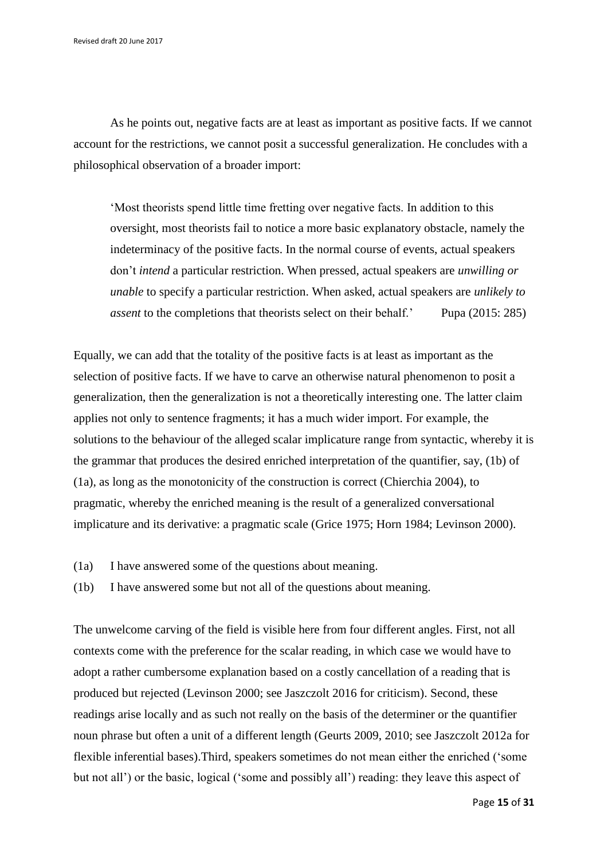As he points out, negative facts are at least as important as positive facts. If we cannot account for the restrictions, we cannot posit a successful generalization. He concludes with a philosophical observation of a broader import:

'Most theorists spend little time fretting over negative facts. In addition to this oversight, most theorists fail to notice a more basic explanatory obstacle, namely the indeterminacy of the positive facts. In the normal course of events, actual speakers don't *intend* a particular restriction. When pressed, actual speakers are *unwilling or unable* to specify a particular restriction. When asked, actual speakers are *unlikely to assent* to the completions that theorists select on their behalf.' Pupa (2015: 285)

Equally, we can add that the totality of the positive facts is at least as important as the selection of positive facts. If we have to carve an otherwise natural phenomenon to posit a generalization, then the generalization is not a theoretically interesting one. The latter claim applies not only to sentence fragments; it has a much wider import. For example, the solutions to the behaviour of the alleged scalar implicature range from syntactic, whereby it is the grammar that produces the desired enriched interpretation of the quantifier, say, (1b) of (1a), as long as the monotonicity of the construction is correct (Chierchia 2004), to pragmatic, whereby the enriched meaning is the result of a generalized conversational implicature and its derivative: a pragmatic scale (Grice 1975; Horn 1984; Levinson 2000).

- (1a) I have answered some of the questions about meaning.
- (1b) I have answered some but not all of the questions about meaning.

The unwelcome carving of the field is visible here from four different angles. First, not all contexts come with the preference for the scalar reading, in which case we would have to adopt a rather cumbersome explanation based on a costly cancellation of a reading that is produced but rejected (Levinson 2000; see Jaszczolt 2016 for criticism). Second, these readings arise locally and as such not really on the basis of the determiner or the quantifier noun phrase but often a unit of a different length (Geurts 2009, 2010; see Jaszczolt 2012a for flexible inferential bases).Third, speakers sometimes do not mean either the enriched ('some but not all') or the basic, logical ('some and possibly all') reading: they leave this aspect of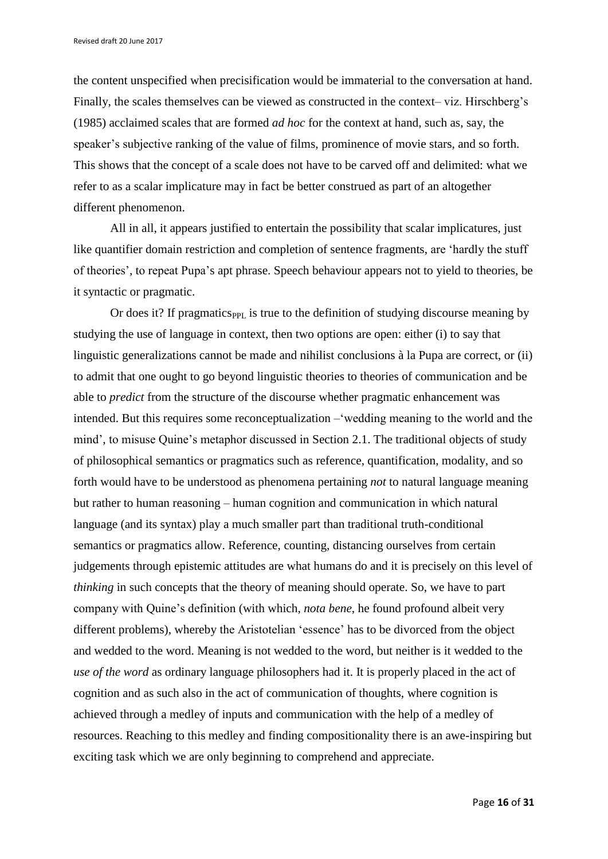the content unspecified when precisification would be immaterial to the conversation at hand. Finally, the scales themselves can be viewed as constructed in the context– viz. Hirschberg's (1985) acclaimed scales that are formed *ad hoc* for the context at hand, such as, say, the speaker's subjective ranking of the value of films, prominence of movie stars, and so forth. This shows that the concept of a scale does not have to be carved off and delimited: what we refer to as a scalar implicature may in fact be better construed as part of an altogether different phenomenon.

All in all, it appears justified to entertain the possibility that scalar implicatures, just like quantifier domain restriction and completion of sentence fragments, are 'hardly the stuff of theories', to repeat Pupa's apt phrase. Speech behaviour appears not to yield to theories, be it syntactic or pragmatic.

Or does it? If pragmatics $_{\text{PPL}}$  is true to the definition of studying discourse meaning by studying the use of language in context, then two options are open: either (i) to say that linguistic generalizations cannot be made and nihilist conclusions à la Pupa are correct, or (ii) to admit that one ought to go beyond linguistic theories to theories of communication and be able to *predict* from the structure of the discourse whether pragmatic enhancement was intended. But this requires some reconceptualization –'wedding meaning to the world and the mind', to misuse Quine's metaphor discussed in Section 2.1. The traditional objects of study of philosophical semantics or pragmatics such as reference, quantification, modality, and so forth would have to be understood as phenomena pertaining *not* to natural language meaning but rather to human reasoning – human cognition and communication in which natural language (and its syntax) play a much smaller part than traditional truth-conditional semantics or pragmatics allow. Reference, counting, distancing ourselves from certain judgements through epistemic attitudes are what humans do and it is precisely on this level of *thinking* in such concepts that the theory of meaning should operate. So, we have to part company with Quine's definition (with which, *nota bene*, he found profound albeit very different problems), whereby the Aristotelian 'essence' has to be divorced from the object and wedded to the word. Meaning is not wedded to the word, but neither is it wedded to the *use of the word* as ordinary language philosophers had it. It is properly placed in the act of cognition and as such also in the act of communication of thoughts, where cognition is achieved through a medley of inputs and communication with the help of a medley of resources. Reaching to this medley and finding compositionality there is an awe-inspiring but exciting task which we are only beginning to comprehend and appreciate.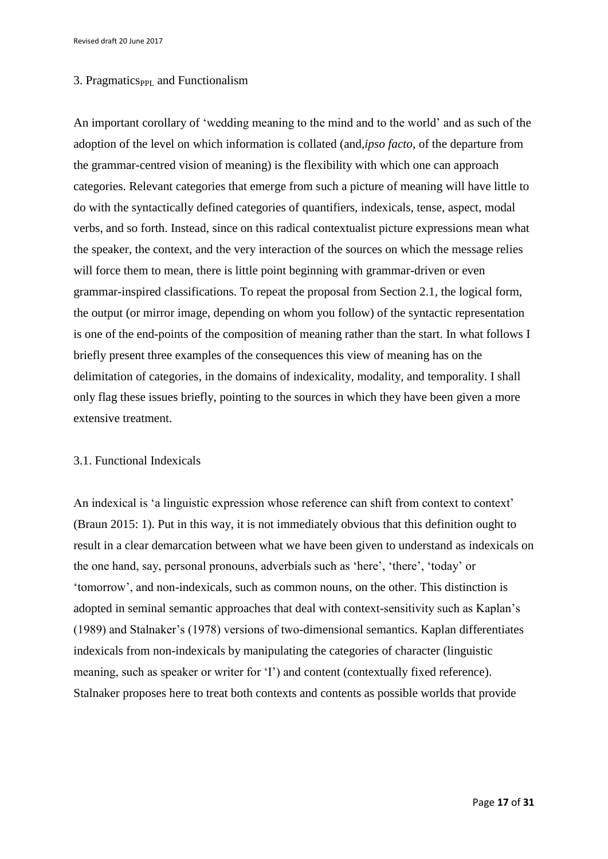## 3. Pragmatics<sub>PPL</sub> and Functionalism

An important corollary of 'wedding meaning to the mind and to the world' and as such of the adoption of the level on which information is collated (and,*ipso facto*, of the departure from the grammar-centred vision of meaning) is the flexibility with which one can approach categories. Relevant categories that emerge from such a picture of meaning will have little to do with the syntactically defined categories of quantifiers, indexicals, tense, aspect, modal verbs, and so forth. Instead, since on this radical contextualist picture expressions mean what the speaker, the context, and the very interaction of the sources on which the message relies will force them to mean, there is little point beginning with grammar-driven or even grammar-inspired classifications. To repeat the proposal from Section 2.1, the logical form, the output (or mirror image, depending on whom you follow) of the syntactic representation is one of the end-points of the composition of meaning rather than the start. In what follows I briefly present three examples of the consequences this view of meaning has on the delimitation of categories, in the domains of indexicality, modality, and temporality. I shall only flag these issues briefly, pointing to the sources in which they have been given a more extensive treatment.

#### 3.1. Functional Indexicals

An indexical is 'a linguistic expression whose reference can shift from context to context' (Braun 2015: 1). Put in this way, it is not immediately obvious that this definition ought to result in a clear demarcation between what we have been given to understand as indexicals on the one hand, say, personal pronouns, adverbials such as 'here', 'there', 'today' or 'tomorrow', and non-indexicals, such as common nouns, on the other. This distinction is adopted in seminal semantic approaches that deal with context-sensitivity such as Kaplan's (1989) and Stalnaker's (1978) versions of two-dimensional semantics. Kaplan differentiates indexicals from non-indexicals by manipulating the categories of character (linguistic meaning, such as speaker or writer for 'I') and content (contextually fixed reference). Stalnaker proposes here to treat both contexts and contents as possible worlds that provide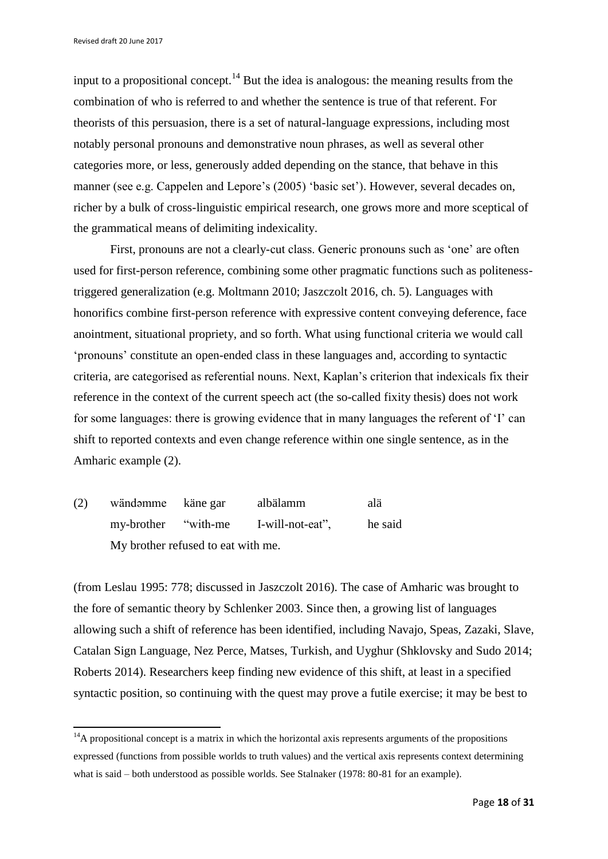input to a propositional concept.<sup>14</sup> But the idea is analogous: the meaning results from the combination of who is referred to and whether the sentence is true of that referent. For theorists of this persuasion, there is a set of natural-language expressions, including most notably personal pronouns and demonstrative noun phrases, as well as several other categories more, or less, generously added depending on the stance, that behave in this manner (see e.g. Cappelen and Lepore's (2005) 'basic set'). However, several decades on, richer by a bulk of cross-linguistic empirical research, one grows more and more sceptical of the grammatical means of delimiting indexicality.

First, pronouns are not a clearly-cut class. Generic pronouns such as 'one' are often used for first-person reference, combining some other pragmatic functions such as politenesstriggered generalization (e.g. Moltmann 2010; Jaszczolt 2016, ch. 5). Languages with honorifics combine first-person reference with expressive content conveying deference, face anointment, situational propriety, and so forth. What using functional criteria we would call 'pronouns' constitute an open-ended class in these languages and, according to syntactic criteria, are categorised as referential nouns. Next, Kaplan's criterion that indexicals fix their reference in the context of the current speech act (the so-called fixity thesis) does not work for some languages: there is growing evidence that in many languages the referent of 'I' can shift to reported contexts and even change reference within one single sentence, as in the Amharic example (2).

(2) wändәmme käne gar albälamm alä my-brother "with-me I-will-not-eat", he said My brother refused to eat with me.

(from Leslau 1995: 778; discussed in Jaszczolt 2016). The case of Amharic was brought to the fore of semantic theory by Schlenker 2003. Since then, a growing list of languages allowing such a shift of reference has been identified, including Navajo, Speas, Zazaki, Slave, Catalan Sign Language, Nez Perce, Matses, Turkish, and Uyghur (Shklovsky and Sudo 2014; Roberts 2014). Researchers keep finding new evidence of this shift, at least in a specified syntactic position, so continuing with the quest may prove a futile exercise; it may be best to

 $14A$  propositional concept is a matrix in which the horizontal axis represents arguments of the propositions expressed (functions from possible worlds to truth values) and the vertical axis represents context determining what is said – both understood as possible worlds. See Stalnaker (1978: 80-81 for an example).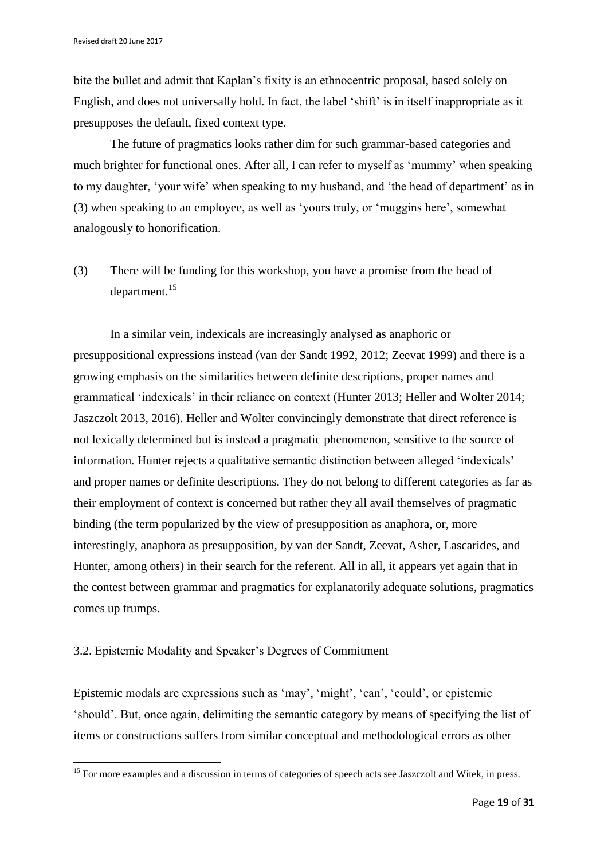bite the bullet and admit that Kaplan's fixity is an ethnocentric proposal, based solely on English, and does not universally hold. In fact, the label 'shift' is in itself inappropriate as it presupposes the default, fixed context type.

The future of pragmatics looks rather dim for such grammar-based categories and much brighter for functional ones. After all, I can refer to myself as 'mummy' when speaking to my daughter, 'your wife' when speaking to my husband, and 'the head of department' as in (3) when speaking to an employee, as well as 'yours truly, or 'muggins here', somewhat analogously to honorification.

(3) There will be funding for this workshop, you have a promise from the head of department.<sup>15</sup>

In a similar vein, indexicals are increasingly analysed as anaphoric or presuppositional expressions instead (van der Sandt 1992, 2012; Zeevat 1999) and there is a growing emphasis on the similarities between definite descriptions, proper names and grammatical 'indexicals' in their reliance on context (Hunter 2013; Heller and Wolter 2014; Jaszczolt 2013, 2016). Heller and Wolter convincingly demonstrate that direct reference is not lexically determined but is instead a pragmatic phenomenon, sensitive to the source of information. Hunter rejects a qualitative semantic distinction between alleged 'indexicals' and proper names or definite descriptions. They do not belong to different categories as far as their employment of context is concerned but rather they all avail themselves of pragmatic binding (the term popularized by the view of presupposition as anaphora, or, more interestingly, anaphora as presupposition, by van der Sandt, Zeevat, Asher, Lascarides, and Hunter, among others) in their search for the referent. All in all, it appears yet again that in the contest between grammar and pragmatics for explanatorily adequate solutions, pragmatics comes up trumps.

#### 3.2. Epistemic Modality and Speaker's Degrees of Commitment

1

Epistemic modals are expressions such as 'may', 'might', 'can', 'could', or epistemic 'should'. But, once again, delimiting the semantic category by means of specifying the list of items or constructions suffers from similar conceptual and methodological errors as other

<sup>&</sup>lt;sup>15</sup> For more examples and a discussion in terms of categories of speech acts see Jaszczolt and Witek, in press.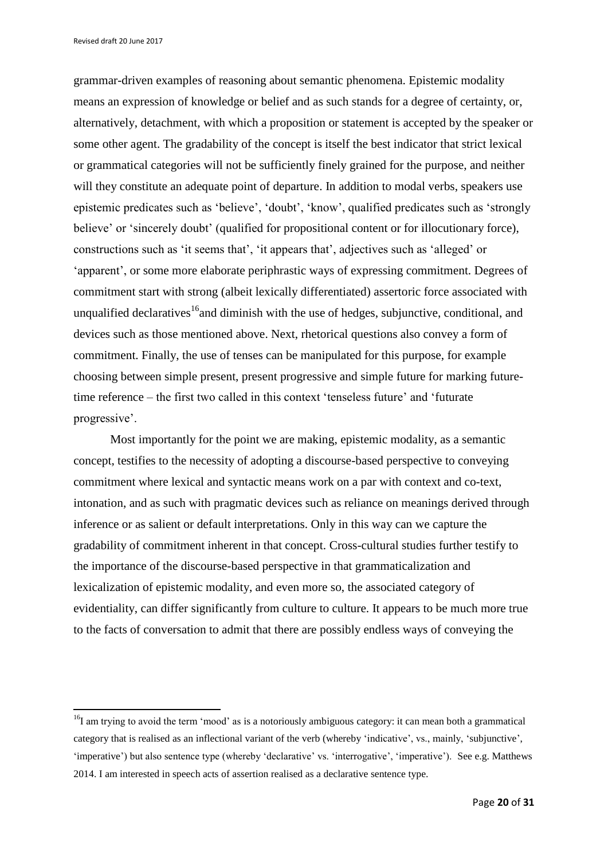1

grammar-driven examples of reasoning about semantic phenomena. Epistemic modality means an expression of knowledge or belief and as such stands for a degree of certainty, or, alternatively, detachment, with which a proposition or statement is accepted by the speaker or some other agent. The gradability of the concept is itself the best indicator that strict lexical or grammatical categories will not be sufficiently finely grained for the purpose, and neither will they constitute an adequate point of departure. In addition to modal verbs, speakers use epistemic predicates such as 'believe', 'doubt', 'know', qualified predicates such as 'strongly believe' or 'sincerely doubt' (qualified for propositional content or for illocutionary force), constructions such as 'it seems that', 'it appears that', adjectives such as 'alleged' or 'apparent', or some more elaborate periphrastic ways of expressing commitment. Degrees of commitment start with strong (albeit lexically differentiated) assertoric force associated with unqualified declaratives<sup>16</sup>and diminish with the use of hedges, subjunctive, conditional, and devices such as those mentioned above. Next, rhetorical questions also convey a form of commitment. Finally, the use of tenses can be manipulated for this purpose, for example choosing between simple present, present progressive and simple future for marking futuretime reference – the first two called in this context 'tenseless future' and 'futurate progressive'.

Most importantly for the point we are making, epistemic modality, as a semantic concept, testifies to the necessity of adopting a discourse-based perspective to conveying commitment where lexical and syntactic means work on a par with context and co-text, intonation, and as such with pragmatic devices such as reliance on meanings derived through inference or as salient or default interpretations. Only in this way can we capture the gradability of commitment inherent in that concept. Cross-cultural studies further testify to the importance of the discourse-based perspective in that grammaticalization and lexicalization of epistemic modality, and even more so, the associated category of evidentiality, can differ significantly from culture to culture. It appears to be much more true to the facts of conversation to admit that there are possibly endless ways of conveying the

<sup>&</sup>lt;sup>16</sup>I am trying to avoid the term 'mood' as is a notoriously ambiguous category: it can mean both a grammatical category that is realised as an inflectional variant of the verb (whereby 'indicative', vs., mainly, 'subjunctive', 'imperative') but also sentence type (whereby 'declarative' vs. 'interrogative', 'imperative'). See e.g. Matthews 2014. I am interested in speech acts of assertion realised as a declarative sentence type.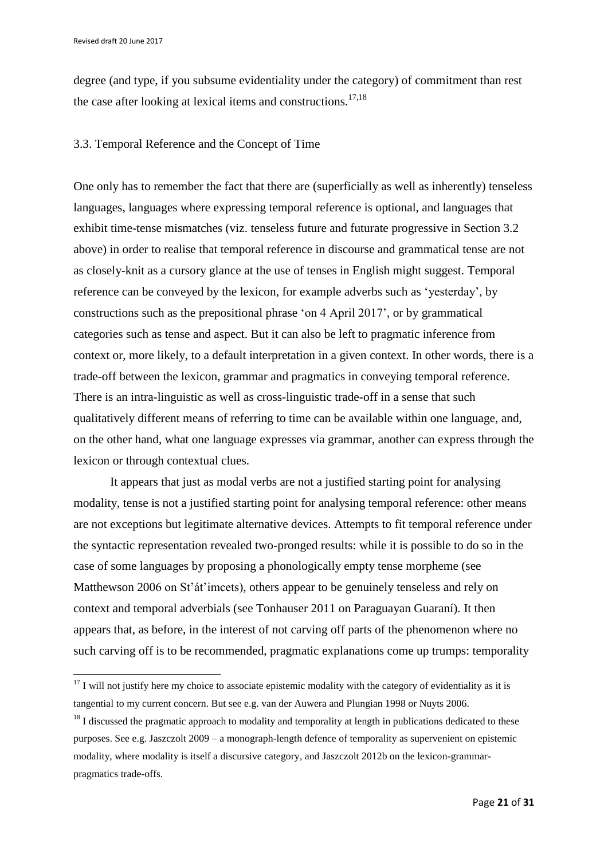$\overline{\phantom{a}}$ 

degree (and type, if you subsume evidentiality under the category) of commitment than rest the case after looking at lexical items and constructions.<sup>17,18</sup>

### 3.3. Temporal Reference and the Concept of Time

One only has to remember the fact that there are (superficially as well as inherently) tenseless languages, languages where expressing temporal reference is optional, and languages that exhibit time-tense mismatches (viz. tenseless future and futurate progressive in Section 3.2 above) in order to realise that temporal reference in discourse and grammatical tense are not as closely-knit as a cursory glance at the use of tenses in English might suggest. Temporal reference can be conveyed by the lexicon, for example adverbs such as 'yesterday', by constructions such as the prepositional phrase 'on 4 April 2017', or by grammatical categories such as tense and aspect. But it can also be left to pragmatic inference from context or, more likely, to a default interpretation in a given context. In other words, there is a trade-off between the lexicon, grammar and pragmatics in conveying temporal reference. There is an intra-linguistic as well as cross-linguistic trade-off in a sense that such qualitatively different means of referring to time can be available within one language, and, on the other hand, what one language expresses via grammar, another can express through the lexicon or through contextual clues.

It appears that just as modal verbs are not a justified starting point for analysing modality, tense is not a justified starting point for analysing temporal reference: other means are not exceptions but legitimate alternative devices. Attempts to fit temporal reference under the syntactic representation revealed two-pronged results: while it is possible to do so in the case of some languages by proposing a phonologically empty tense morpheme (see Matthewson 2006 on St'át'imcets), others appear to be genuinely tenseless and rely on context and temporal adverbials (see Tonhauser 2011 on Paraguayan Guaraní). It then appears that, as before, in the interest of not carving off parts of the phenomenon where no such carving off is to be recommended, pragmatic explanations come up trumps: temporality

 $17$  I will not justify here my choice to associate epistemic modality with the category of evidentiality as it is tangential to my current concern. But see e.g. van der Auwera and Plungian 1998 or Nuyts 2006.

 $18$  I discussed the pragmatic approach to modality and temporality at length in publications dedicated to these purposes. See e.g. Jaszczolt 2009 – a monograph-length defence of temporality as supervenient on epistemic modality, where modality is itself a discursive category, and Jaszczolt 2012b on the lexicon-grammarpragmatics trade-offs.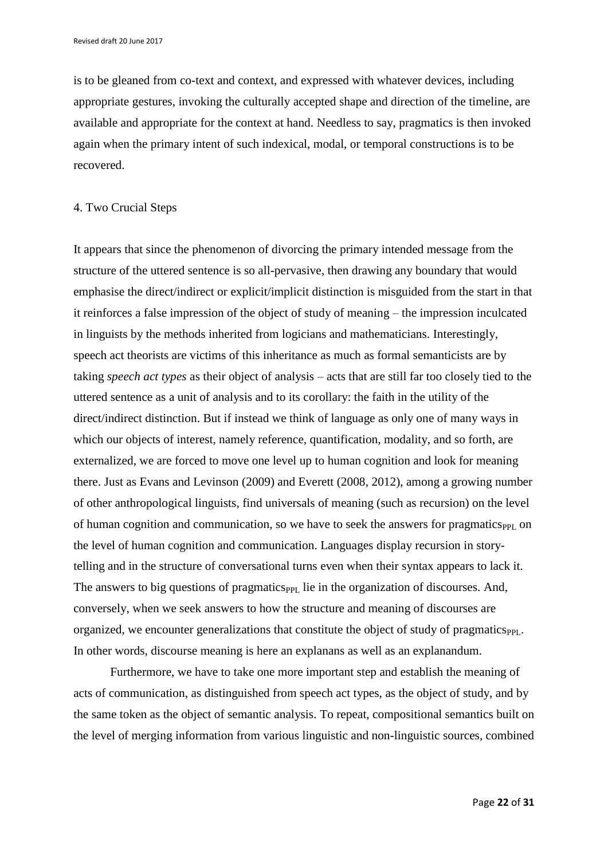is to be gleaned from co-text and context, and expressed with whatever devices, including appropriate gestures, invoking the culturally accepted shape and direction of the timeline, are available and appropriate for the context at hand. Needless to say, pragmatics is then invoked again when the primary intent of such indexical, modal, or temporal constructions is to be recovered.

#### 4. Two Crucial Steps

It appears that since the phenomenon of divorcing the primary intended message from the structure of the uttered sentence is so all-pervasive, then drawing any boundary that would emphasise the direct/indirect or explicit/implicit distinction is misguided from the start in that it reinforces a false impression of the object of study of meaning – the impression inculcated in linguists by the methods inherited from logicians and mathematicians. Interestingly, speech act theorists are victims of this inheritance as much as formal semanticists are by taking *speech act types* as their object of analysis – acts that are still far too closely tied to the uttered sentence as a unit of analysis and to its corollary: the faith in the utility of the direct/indirect distinction. But if instead we think of language as only one of many ways in which our objects of interest, namely reference, quantification, modality, and so forth, are externalized, we are forced to move one level up to human cognition and look for meaning there. Just as Evans and Levinson (2009) and Everett (2008, 2012), among a growing number of other anthropological linguists, find universals of meaning (such as recursion) on the level of human cognition and communication, so we have to seek the answers for pragmatics<sub>PPL</sub> on the level of human cognition and communication. Languages display recursion in storytelling and in the structure of conversational turns even when their syntax appears to lack it. The answers to big questions of pragmatics $_{\text{PPL}}$  lie in the organization of discourses. And, conversely, when we seek answers to how the structure and meaning of discourses are organized, we encounter generalizations that constitute the object of study of pragmatics<sub>PPL</sub>. In other words, discourse meaning is here an explanans as well as an explanandum.

Furthermore, we have to take one more important step and establish the meaning of acts of communication, as distinguished from speech act types, as the object of study, and by the same token as the object of semantic analysis. To repeat, compositional semantics built on the level of merging information from various linguistic and non-linguistic sources, combined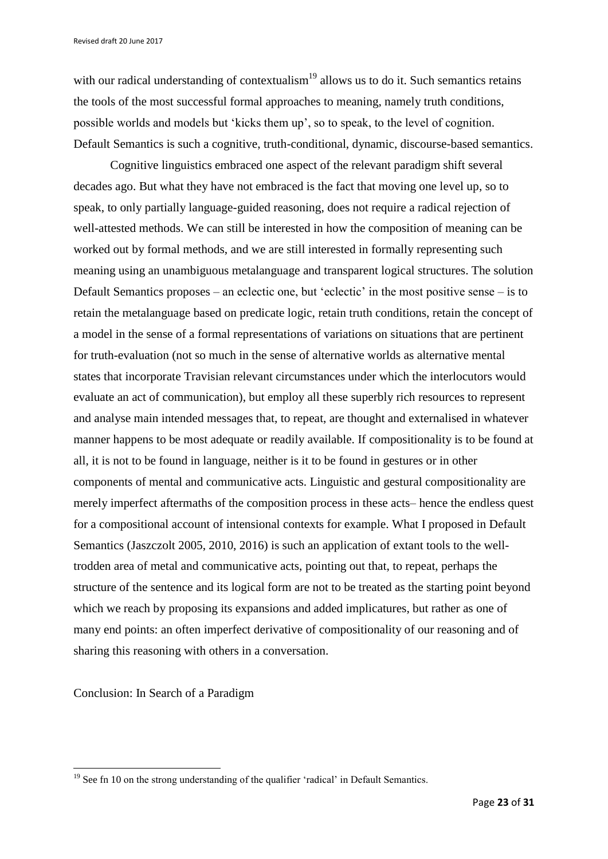with our radical understanding of contextualism<sup>19</sup> allows us to do it. Such semantics retains the tools of the most successful formal approaches to meaning, namely truth conditions, possible worlds and models but 'kicks them up', so to speak, to the level of cognition. Default Semantics is such a cognitive, truth-conditional, dynamic, discourse-based semantics.

Cognitive linguistics embraced one aspect of the relevant paradigm shift several decades ago. But what they have not embraced is the fact that moving one level up, so to speak, to only partially language-guided reasoning, does not require a radical rejection of well-attested methods. We can still be interested in how the composition of meaning can be worked out by formal methods, and we are still interested in formally representing such meaning using an unambiguous metalanguage and transparent logical structures. The solution Default Semantics proposes – an eclectic one, but 'eclectic' in the most positive sense – is to retain the metalanguage based on predicate logic, retain truth conditions, retain the concept of a model in the sense of a formal representations of variations on situations that are pertinent for truth-evaluation (not so much in the sense of alternative worlds as alternative mental states that incorporate Travisian relevant circumstances under which the interlocutors would evaluate an act of communication), but employ all these superbly rich resources to represent and analyse main intended messages that, to repeat, are thought and externalised in whatever manner happens to be most adequate or readily available. If compositionality is to be found at all, it is not to be found in language, neither is it to be found in gestures or in other components of mental and communicative acts. Linguistic and gestural compositionality are merely imperfect aftermaths of the composition process in these acts– hence the endless quest for a compositional account of intensional contexts for example. What I proposed in Default Semantics (Jaszczolt 2005, 2010, 2016) is such an application of extant tools to the welltrodden area of metal and communicative acts, pointing out that, to repeat, perhaps the structure of the sentence and its logical form are not to be treated as the starting point beyond which we reach by proposing its expansions and added implicatures, but rather as one of many end points: an often imperfect derivative of compositionality of our reasoning and of sharing this reasoning with others in a conversation.

Conclusion: In Search of a Paradigm

**.** 

<sup>&</sup>lt;sup>19</sup> See fn 10 on the strong understanding of the qualifier 'radical' in Default Semantics.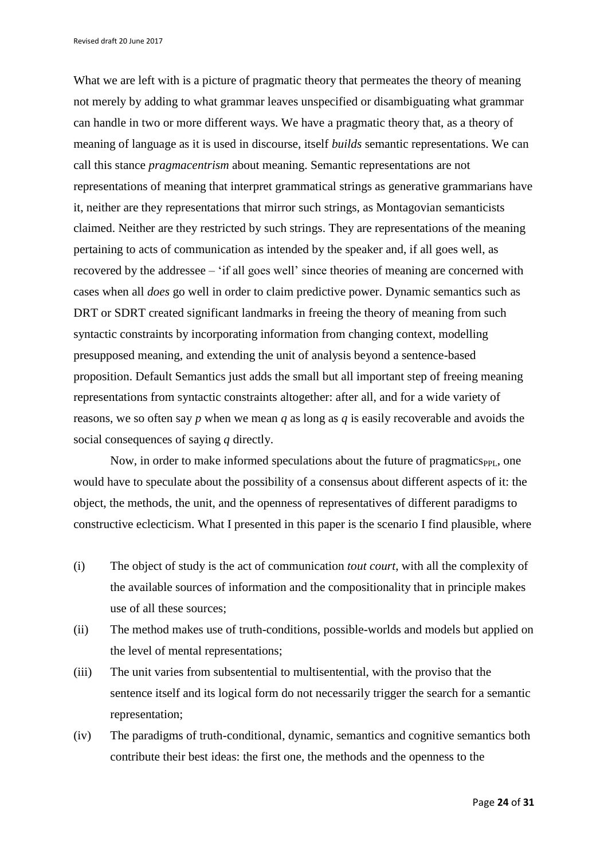What we are left with is a picture of pragmatic theory that permeates the theory of meaning not merely by adding to what grammar leaves unspecified or disambiguating what grammar can handle in two or more different ways. We have a pragmatic theory that, as a theory of meaning of language as it is used in discourse, itself *builds* semantic representations. We can call this stance *pragmacentrism* about meaning. Semantic representations are not representations of meaning that interpret grammatical strings as generative grammarians have it, neither are they representations that mirror such strings, as Montagovian semanticists claimed. Neither are they restricted by such strings. They are representations of the meaning pertaining to acts of communication as intended by the speaker and, if all goes well, as recovered by the addressee – 'if all goes well' since theories of meaning are concerned with cases when all *does* go well in order to claim predictive power. Dynamic semantics such as DRT or SDRT created significant landmarks in freeing the theory of meaning from such syntactic constraints by incorporating information from changing context, modelling presupposed meaning, and extending the unit of analysis beyond a sentence-based proposition. Default Semantics just adds the small but all important step of freeing meaning representations from syntactic constraints altogether: after all, and for a wide variety of reasons, we so often say *p* when we mean *q* as long as *q* is easily recoverable and avoids the social consequences of saying *q* directly.

Now, in order to make informed speculations about the future of pragmatics $_{\rm PPL}$ , one would have to speculate about the possibility of a consensus about different aspects of it: the object, the methods, the unit, and the openness of representatives of different paradigms to constructive eclecticism. What I presented in this paper is the scenario I find plausible, where

- (i) The object of study is the act of communication *tout court*, with all the complexity of the available sources of information and the compositionality that in principle makes use of all these sources;
- (ii) The method makes use of truth-conditions, possible-worlds and models but applied on the level of mental representations;
- (iii) The unit varies from subsentential to multisentential, with the proviso that the sentence itself and its logical form do not necessarily trigger the search for a semantic representation;
- (iv) The paradigms of truth-conditional, dynamic, semantics and cognitive semantics both contribute their best ideas: the first one, the methods and the openness to the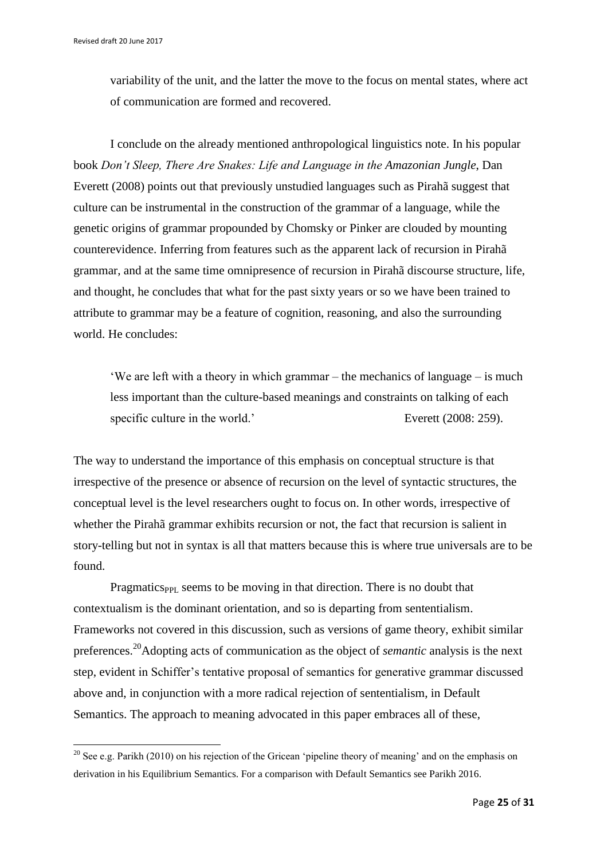variability of the unit, and the latter the move to the focus on mental states, where act of communication are formed and recovered.

I conclude on the already mentioned anthropological linguistics note. In his popular book *Don't Sleep, There Are Snakes: Life and Language in the Amazonian Jungle*, Dan Everett (2008) points out that previously unstudied languages such as Pirahã suggest that culture can be instrumental in the construction of the grammar of a language, while the genetic origins of grammar propounded by Chomsky or Pinker are clouded by mounting counterevidence. Inferring from features such as the apparent lack of recursion in Pirahã grammar, and at the same time omnipresence of recursion in Pirahã discourse structure, life, and thought, he concludes that what for the past sixty years or so we have been trained to attribute to grammar may be a feature of cognition, reasoning, and also the surrounding world. He concludes:

'We are left with a theory in which grammar – the mechanics of language – is much less important than the culture-based meanings and constraints on talking of each specific culture in the world.' Everett (2008: 259).

The way to understand the importance of this emphasis on conceptual structure is that irrespective of the presence or absence of recursion on the level of syntactic structures, the conceptual level is the level researchers ought to focus on. In other words, irrespective of whether the Pirahã grammar exhibits recursion or not, the fact that recursion is salient in story-telling but not in syntax is all that matters because this is where true universals are to be found.

Pragmatics<sub>PPL</sub> seems to be moving in that direction. There is no doubt that contextualism is the dominant orientation, and so is departing from sententialism. Frameworks not covered in this discussion, such as versions of game theory, exhibit similar preferences.<sup>20</sup>Adopting acts of communication as the object of *semantic* analysis is the next step, evident in Schiffer's tentative proposal of semantics for generative grammar discussed above and, in conjunction with a more radical rejection of sententialism, in Default Semantics. The approach to meaning advocated in this paper embraces all of these,

<sup>&</sup>lt;sup>20</sup> See e.g. Parikh (2010) on his rejection of the Gricean 'pipeline theory of meaning' and on the emphasis on derivation in his Equilibrium Semantics. For a comparison with Default Semantics see Parikh 2016.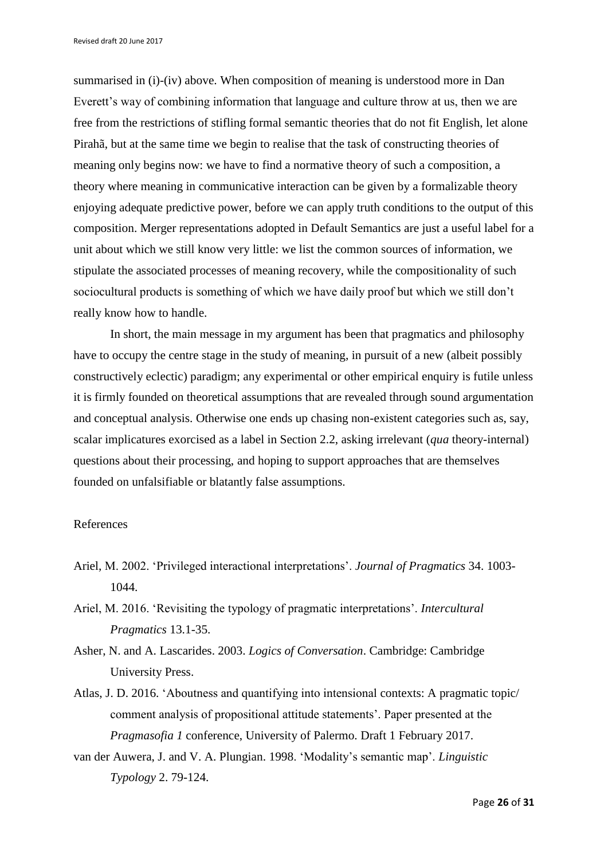summarised in (i)-(iv) above. When composition of meaning is understood more in Dan Everett's way of combining information that language and culture throw at us, then we are free from the restrictions of stifling formal semantic theories that do not fit English, let alone Pirahã, but at the same time we begin to realise that the task of constructing theories of meaning only begins now: we have to find a normative theory of such a composition, a theory where meaning in communicative interaction can be given by a formalizable theory enjoying adequate predictive power, before we can apply truth conditions to the output of this composition. Merger representations adopted in Default Semantics are just a useful label for a unit about which we still know very little: we list the common sources of information, we stipulate the associated processes of meaning recovery, while the compositionality of such sociocultural products is something of which we have daily proof but which we still don't really know how to handle.

In short, the main message in my argument has been that pragmatics and philosophy have to occupy the centre stage in the study of meaning, in pursuit of a new (albeit possibly constructively eclectic) paradigm; any experimental or other empirical enquiry is futile unless it is firmly founded on theoretical assumptions that are revealed through sound argumentation and conceptual analysis. Otherwise one ends up chasing non-existent categories such as, say, scalar implicatures exorcised as a label in Section 2.2, asking irrelevant (*qua* theory-internal) questions about their processing, and hoping to support approaches that are themselves founded on unfalsifiable or blatantly false assumptions.

#### References

- Ariel, M. 2002. 'Privileged interactional interpretations'. *Journal of Pragmatics* 34. 1003- 1044.
- Ariel, M. 2016. 'Revisiting the typology of pragmatic interpretations'. *Intercultural Pragmatics* 13.1-35.
- Asher, N. and A. Lascarides. 2003. *Logics of Conversation*. Cambridge: Cambridge University Press.
- Atlas, J. D. 2016. 'Aboutness and quantifying into intensional contexts: A pragmatic topic/ comment analysis of propositional attitude statements'. Paper presented at the *Pragmasofia 1* conference, University of Palermo. Draft 1 February 2017.
- van der Auwera, J. and V. A. Plungian. 1998. 'Modality's semantic map'. *Linguistic Typology* 2. 79-124.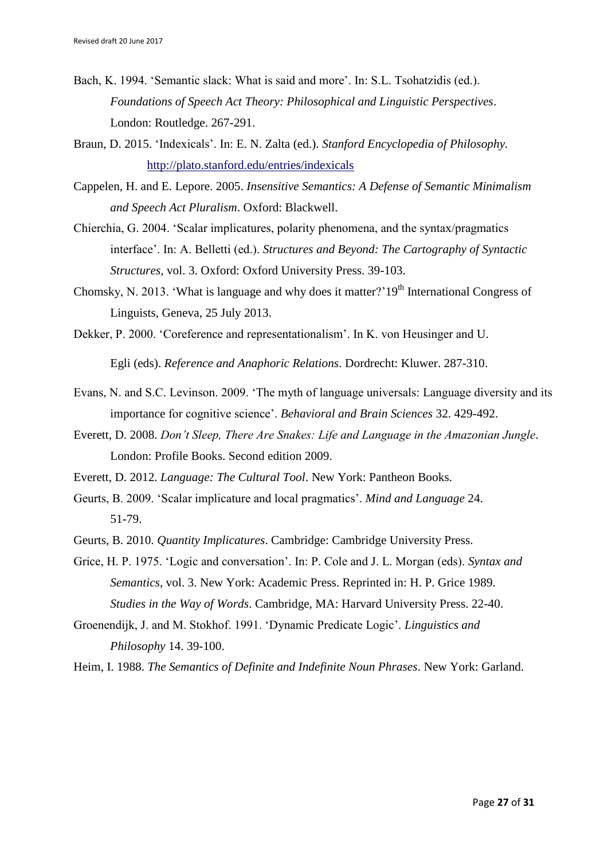- Bach, K. 1994. 'Semantic slack: What is said and more'. In: S.L. Tsohatzidis (ed.). *Foundations of Speech Act Theory: Philosophical and Linguistic Perspectives*. London: Routledge. 267-291.
- Braun, D. 2015. 'Indexicals'. In: E. N. Zalta (ed.). *Stanford Encyclopedia of Philosophy.* <http://plato.stanford.edu/entries/indexicals>
- Cappelen, H. and E. Lepore. 2005. *Insensitive Semantics: A Defense of Semantic Minimalism and Speech Act Pluralism*. Oxford: Blackwell.
- Chierchia, G. 2004. 'Scalar implicatures, polarity phenomena, and the syntax/pragmatics interface'. In: A. Belletti (ed.). *Structures and Beyond: The Cartography of Syntactic Structures*, vol. 3. Oxford: Oxford University Press. 39-103.
- Chomsky, N. 2013. 'What is language and why does it matter?' $19<sup>th</sup>$  International Congress of Linguists, Geneva, 25 July 2013.
- Dekker, P. 2000. 'Coreference and representationalism'. In K. von Heusinger and U.

Egli (eds). *Reference and Anaphoric Relations*. Dordrecht: Kluwer. 287-310.

- Evans, N. and S.C. Levinson. 2009. 'The myth of language universals: Language diversity and its importance for cognitive science'. *Behavioral and Brain Sciences* 32. 429-492.
- Everett, D. 2008. *Don't Sleep, There Are Snakes: Life and Language in the Amazonian Jungle*. London: Profile Books. Second edition 2009.
- Everett, D. 2012. *Language: The Cultural Tool*. New York: Pantheon Books.
- Geurts, B. 2009. 'Scalar implicature and local pragmatics'. *Mind and Language* 24. 51-79.
- Geurts, B. 2010. *Quantity Implicatures*. Cambridge: Cambridge University Press.
- Grice, H. P. 1975. 'Logic and conversation'. In: P. Cole and J. L. Morgan (eds). *Syntax and Semantics*, vol. 3. New York: Academic Press. Reprinted in: H. P. Grice 1989. *Studies in the Way of Words*. Cambridge, MA: Harvard University Press. 22-40.
- Groenendijk, J. and M. Stokhof. 1991. 'Dynamic Predicate Logic'. *Linguistics and Philosophy* 14. 39-100.
- Heim, I. 1988. *The Semantics of Definite and Indefinite Noun Phrases*. New York: Garland.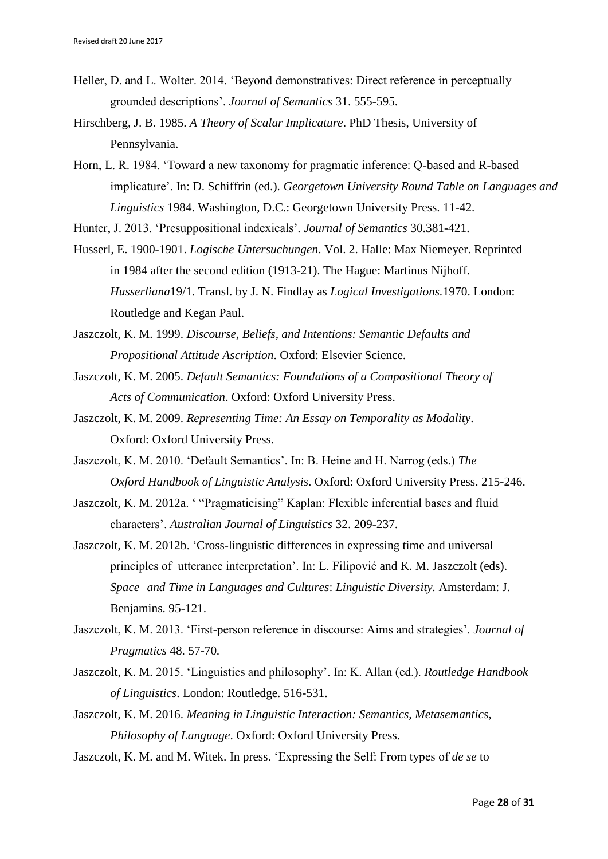- Heller, D. and L. Wolter. 2014. 'Beyond demonstratives: Direct reference in perceptually grounded descriptions'. *Journal of Semantics* 31. 555-595.
- Hirschberg, J. B. 1985. *A Theory of Scalar Implicature*. PhD Thesis, University of Pennsylvania.
- Horn, L. R. 1984. 'Toward a new taxonomy for pragmatic inference: Q-based and R-based implicature'. In: D. Schiffrin (ed.). *Georgetown University Round Table on Languages and Linguistics* 1984. Washington, D.C.: Georgetown University Press. 11-42.
- Hunter, J. 2013. 'Presuppositional indexicals'. *Journal of Semantics* 30.381-421.
- Husserl, E. 1900-1901. *Logische Untersuchungen*. Vol. 2. Halle: Max Niemeyer. Reprinted in 1984 after the second edition (1913-21). The Hague: Martinus Nijhoff. *Husserliana*19/1. Transl. by J. N. Findlay as *Logical Investigations.*1970. London: Routledge and Kegan Paul.
- Jaszczolt, K. M. 1999. *Discourse, Beliefs, and Intentions: Semantic Defaults and Propositional Attitude Ascription*. Oxford: Elsevier Science.
- Jaszczolt, K. M. 2005. *Default Semantics: Foundations of a Compositional Theory of Acts of Communication*. Oxford: Oxford University Press.
- Jaszczolt, K. M. 2009. *Representing Time: An Essay on Temporality as Modality*. Oxford: Oxford University Press.
- Jaszczolt, K. M. 2010. 'Default Semantics'. In: B. Heine and H. Narrog (eds.) *The Oxford Handbook of Linguistic Analysis*. Oxford: Oxford University Press. 215-246.
- Jaszczolt, K. M. 2012a. ' "Pragmaticising" Kaplan: Flexible inferential bases and fluid characters'. *Australian Journal of Linguistics* 32. 209-237.
- Jaszczolt, K. M. 2012b. 'Cross-linguistic differences in expressing time and universal principles of utterance interpretation'. In: L. Filipović and K. M. Jaszczolt (eds). *Space and Time in Languages and Cultures*: *Linguistic Diversity.* Amsterdam: J. Benjamins. 95-121.
- Jaszczolt, K. M. 2013. 'First-person reference in discourse: Aims and strategies'. *Journal of Pragmatics* 48. 57-70*.*
- Jaszczolt, K. M. 2015. 'Linguistics and philosophy'. In: K. Allan (ed.). *Routledge Handbook of Linguistics*. London: Routledge. 516-531.
- Jaszczolt, K. M. 2016. *Meaning in Linguistic Interaction: Semantics, Metasemantics, Philosophy of Language*. Oxford: Oxford University Press.
- Jaszczolt, K. M. and M. Witek. In press. 'Expressing the Self: From types of *de se* to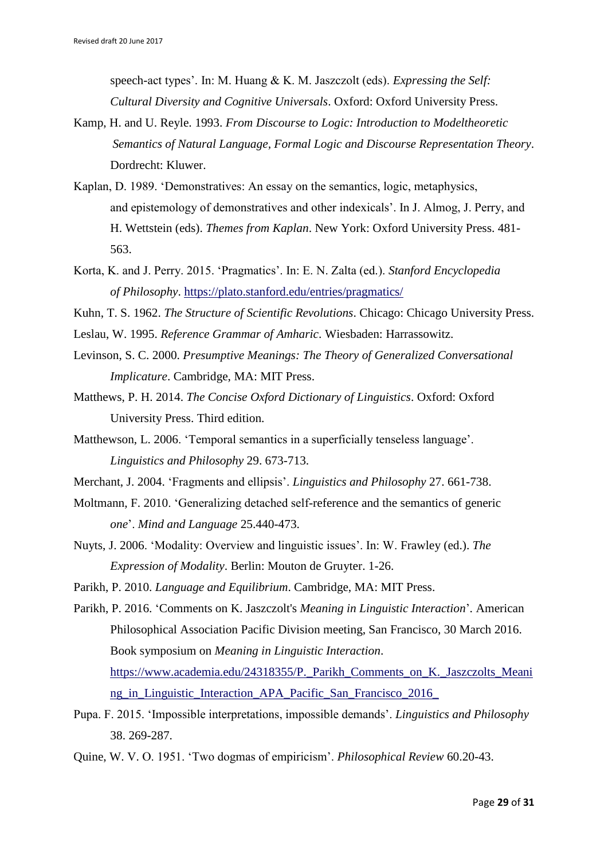speech-act types'. In: M. Huang & K. M. Jaszczolt (eds). *Expressing the Self: Cultural Diversity and Cognitive Universals*. Oxford: Oxford University Press.

- Kamp, H. and U. Reyle. 1993. *From Discourse to Logic: Introduction to Modeltheoretic Semantics of Natural Language, Formal Logic and Discourse Representation Theory*. Dordrecht: Kluwer.
- Kaplan, D. 1989. 'Demonstratives: An essay on the semantics, logic, metaphysics, and epistemology of demonstratives and other indexicals'. In J. Almog, J. Perry, and H. Wettstein (eds). *Themes from Kaplan*. New York: Oxford University Press. 481- 563.
- Korta, K. and J. Perry. 2015. 'Pragmatics'. In: E. N. Zalta (ed.). *Stanford Encyclopedia of Philosophy*.<https://plato.stanford.edu/entries/pragmatics/>
- Kuhn, T. S. 1962. *The Structure of Scientific Revolutions*. Chicago: Chicago University Press.
- Leslau, W. 1995. *Reference Grammar of Amharic*. Wiesbaden: Harrassowitz.
- Levinson, S. C. 2000. *Presumptive Meanings: The Theory of Generalized Conversational Implicature*. Cambridge, MA: MIT Press.
- Matthews, P. H. 2014. *The Concise Oxford Dictionary of Linguistics*. Oxford: Oxford University Press. Third edition.
- Matthewson, L. 2006. 'Temporal semantics in a superficially tenseless language'. *Linguistics and Philosophy* 29. 673-713.
- Merchant, J. 2004. 'Fragments and ellipsis'. *Linguistics and Philosophy* 27. 661-738.
- Moltmann, F. 2010. 'Generalizing detached self-reference and the semantics of generic *one*'. *Mind and Language* 25.440-473.
- Nuyts, J. 2006. 'Modality: Overview and linguistic issues'. In: W. Frawley (ed.). *The Expression of Modality*. Berlin: Mouton de Gruyter. 1-26.
- Parikh, P. 2010. *Language and Equilibrium*. Cambridge, MA: MIT Press.
- Parikh, P. 2016. 'Comments on K. Jaszczolt's *Meaning in Linguistic Interaction*'*.* American Philosophical Association Pacific Division meeting, San Francisco, 30 March 2016. Book symposium on *Meaning in Linguistic Interaction*. [https://www.academia.edu/24318355/P.\\_Parikh\\_Comments\\_on\\_K.\\_Jaszczolts\\_Meani](https://www.academia.edu/24318355/P._Parikh_Comments_on_K._Jaszczolts_Meaning_in_Linguistic_Interaction_APA_Pacific_San_Francisco_2016_) ng in Linguistic Interaction APA Pacific San Francisco 2016
- Pupa. F. 2015. 'Impossible interpretations, impossible demands'. *Linguistics and Philosophy*  38. 269-287.
- Quine, W. V. O. 1951. 'Two dogmas of empiricism'. *Philosophical Review* 60.20-43.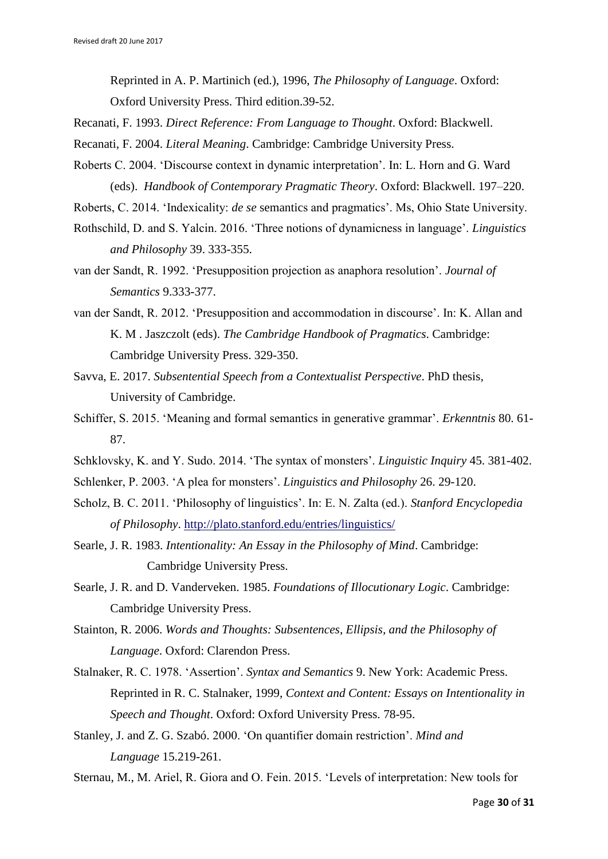Reprinted in A. P. Martinich (ed.), 1996, *The Philosophy of Language*. Oxford: Oxford University Press. Third edition.39-52.

Recanati, F. 1993. *Direct Reference: From Language to Thought*. Oxford: Blackwell.

Recanati, F. 2004. *Literal Meaning*. Cambridge: Cambridge University Press.

- Roberts C. 2004. 'Discourse context in dynamic interpretation'. In: L. Horn and G. Ward (eds). *Handbook of Contemporary Pragmatic Theory*. Oxford: Blackwell. 197–220.
- Roberts, C. 2014. 'Indexicality: *de se* semantics and pragmatics'. Ms, Ohio State University.
- Rothschild, D. and S. Yalcin. 2016. 'Three notions of dynamicness in language'. *Linguistics and Philosophy* 39. 333-355.
- van der Sandt, R. 1992. 'Presupposition projection as anaphora resolution'. *Journal of Semantics* 9.333-377.
- van der Sandt, R. 2012. 'Presupposition and accommodation in discourse'. In: K. Allan and K. M . Jaszczolt (eds). *The Cambridge Handbook of Pragmatics*. Cambridge: Cambridge University Press. 329-350.
- Savva, E. 2017. *Subsentential Speech from a Contextualist Perspective*. PhD thesis, University of Cambridge.
- Schiffer, S. 2015. 'Meaning and formal semantics in generative grammar'. *Erkenntnis* 80. 61- 87.
- Schklovsky, K. and Y. Sudo. 2014. 'The syntax of monsters'. *Linguistic Inquiry* 45. 381-402.
- Schlenker, P. 2003. 'A plea for monsters'. *Linguistics and Philosophy* 26. 29-120.
- Scholz, B. C. 2011. 'Philosophy of linguistics'. In: E. N. Zalta (ed.). *Stanford Encyclopedia of Philosophy*.<http://plato.stanford.edu/entries/linguistics/>
- Searle, J. R. 1983. *Intentionality: An Essay in the Philosophy of Mind*. Cambridge: Cambridge University Press.
- Searle, J. R. and D. Vanderveken. 1985. *Foundations of Illocutionary Logic*. Cambridge: Cambridge University Press.
- Stainton, R. 2006. *Words and Thoughts: Subsentences, Ellipsis, and the Philosophy of Language*. Oxford: Clarendon Press.
- Stalnaker, R. C. 1978. 'Assertion'. *Syntax and Semantics* 9. New York: Academic Press. Reprinted in R. C. Stalnaker, 1999, *Context and Content: Essays on Intentionality in Speech and Thought*. Oxford: Oxford University Press. 78-95.
- Stanley, J. and Z. G. Szabó. 2000. 'On quantifier domain restriction'. *Mind and Language* 15.219-261.
- Sternau, M., M. Ariel, R. Giora and O. Fein. 2015. 'Levels of interpretation: New tools for